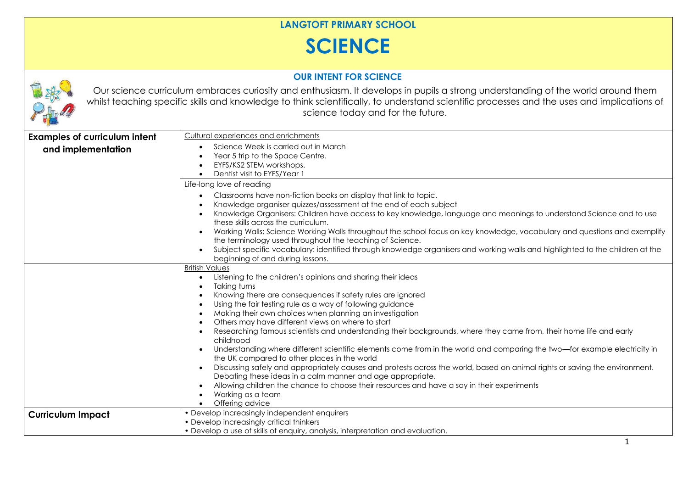## **LANGTOFT PRIMARY SCHOOL**

## **SCIENCE**

## **OUR INTENT FOR SCIENCE**



Our science curriculum embraces curiosity and enthusiasm. It develops in pupils a strong understanding of the world around them whilst teaching specific skills and knowledge to think scientifically, to understand scientific processes and the uses and implications of science today and for the future.

| <b>Examples of curriculum intent</b> | Cultural experiences and enrichments                                                                                                                                                                                                                                                                                                                                                                                                                                                                                                                                                                                                                                                                                                                                                                                                                                                                                                                                                                                           |
|--------------------------------------|--------------------------------------------------------------------------------------------------------------------------------------------------------------------------------------------------------------------------------------------------------------------------------------------------------------------------------------------------------------------------------------------------------------------------------------------------------------------------------------------------------------------------------------------------------------------------------------------------------------------------------------------------------------------------------------------------------------------------------------------------------------------------------------------------------------------------------------------------------------------------------------------------------------------------------------------------------------------------------------------------------------------------------|
| and implementation                   | Science Week is carried out in March<br>Year 5 trip to the Space Centre.<br>EYFS/KS2 STEM workshops.<br>Dentist visit to EYFS/Year 1                                                                                                                                                                                                                                                                                                                                                                                                                                                                                                                                                                                                                                                                                                                                                                                                                                                                                           |
|                                      | Life-long love of reading                                                                                                                                                                                                                                                                                                                                                                                                                                                                                                                                                                                                                                                                                                                                                                                                                                                                                                                                                                                                      |
|                                      | Classrooms have non-fiction books on display that link to topic.<br>Knowledge organiser quizzes/assessment at the end of each subject<br>Knowledge Organisers: Children have access to key knowledge, language and meanings to understand Science and to use<br>these skills across the curriculum.<br>Working Walls: Science Working Walls throughout the school focus on key knowledge, vocabulary and questions and exemplify<br>$\bullet$<br>the terminology used throughout the teaching of Science.<br>Subject specific vocabulary: identified through knowledge organisers and working walls and highlighted to the children at the<br>$\bullet$<br>beginning of and during lessons.                                                                                                                                                                                                                                                                                                                                    |
|                                      | <b>British Values</b><br>Listening to the children's opinions and sharing their ideas<br>$\bullet$<br>Taking turns<br>Knowing there are consequences if safety rules are ignored<br>Using the fair testing rule as a way of following guidance<br>Making their own choices when planning an investigation<br>Others may have different views on where to start<br>Researching famous scientists and understanding their backgrounds, where they came from, their home life and early<br>childhood<br>Understanding where different scientific elements come from in the world and comparing the two-for example electricity in<br>the UK compared to other places in the world<br>Discussing safely and appropriately causes and protests across the world, based on animal rights or saving the environment.<br>$\bullet$<br>Debating these ideas in a calm manner and age appropriate.<br>Allowing children the chance to choose their resources and have a say in their experiments<br>Working as a team<br>Offering advice |
| <b>Curriculum Impact</b>             | • Develop increasingly independent enquirers<br>• Develop increasingly critical thinkers<br>• Develop a use of skills of enquiry, analysis, interpretation and evaluation.                                                                                                                                                                                                                                                                                                                                                                                                                                                                                                                                                                                                                                                                                                                                                                                                                                                     |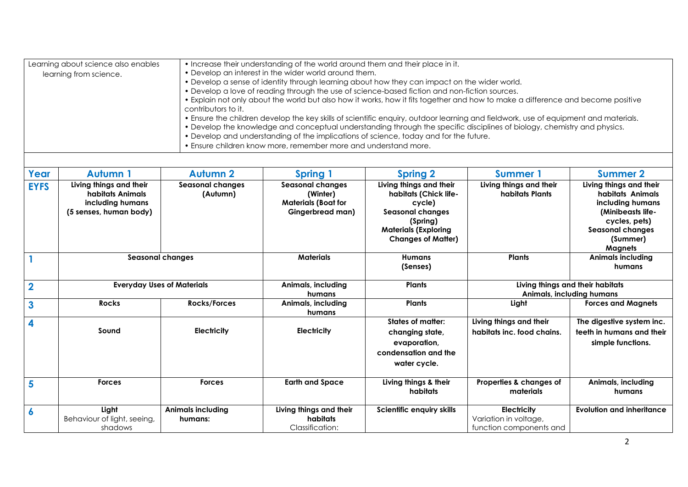| • Increase their understanding of the world around them and their place in it.<br>Learning about science also enables<br>• Develop an interest in the wider world around them.<br>learning from science.<br>• Develop a sense of identity through learning about how they can impact on the wider world.<br>• Develop a love of reading through the use of science-based fiction and non-fiction sources.<br>• Explain not only about the world but also how it works, how it fits together and how to make a difference and become positive<br>contributors to it.<br>• Ensure the children develop the key skills of scientific enquiry, outdoor learning and fieldwork, use of equipment and materials.<br>• Develop the knowledge and conceptual understanding through the specific disciplines of biology, chemistry and physics.<br>. Develop and understanding of the implications of science, today and for the future.<br>. Ensure children know more, remember more and understand more. |                                                                                           |                                     |                                                                                       |                                                                                                                                                               |                                                                        |                                                                                                                                                                |  |
|----------------------------------------------------------------------------------------------------------------------------------------------------------------------------------------------------------------------------------------------------------------------------------------------------------------------------------------------------------------------------------------------------------------------------------------------------------------------------------------------------------------------------------------------------------------------------------------------------------------------------------------------------------------------------------------------------------------------------------------------------------------------------------------------------------------------------------------------------------------------------------------------------------------------------------------------------------------------------------------------------|-------------------------------------------------------------------------------------------|-------------------------------------|---------------------------------------------------------------------------------------|---------------------------------------------------------------------------------------------------------------------------------------------------------------|------------------------------------------------------------------------|----------------------------------------------------------------------------------------------------------------------------------------------------------------|--|
| Year                                                                                                                                                                                                                                                                                                                                                                                                                                                                                                                                                                                                                                                                                                                                                                                                                                                                                                                                                                                               | <b>Autumn 1</b>                                                                           | <b>Autumn 2</b>                     | <b>Spring 1</b>                                                                       | <b>Spring 2</b>                                                                                                                                               | <b>Summer 1</b>                                                        | <b>Summer 2</b>                                                                                                                                                |  |
| <b>EYFS</b>                                                                                                                                                                                                                                                                                                                                                                                                                                                                                                                                                                                                                                                                                                                                                                                                                                                                                                                                                                                        | Living things and their<br>habitats Animals<br>including humans<br>(5 senses, human body) | <b>Seasonal changes</b><br>(Autumn) | Seasonal changes<br>(Winter)<br><b>Materials (Boat for</b><br><b>Gingerbread man)</b> | Living things and their<br>habitats (Chick life-<br>cycle)<br><b>Seasonal changes</b><br>(Spring)<br><b>Materials (Exploring</b><br><b>Changes of Matter)</b> | Living things and their<br>habitats Plants                             | Living things and their<br>habitats Animals<br>including humans<br>(Minibeasts life-<br>cycles, pets)<br><b>Seasonal changes</b><br>(Summer)<br><b>Magnets</b> |  |
|                                                                                                                                                                                                                                                                                                                                                                                                                                                                                                                                                                                                                                                                                                                                                                                                                                                                                                                                                                                                    |                                                                                           | <b>Seasonal changes</b>             | <b>Materials</b>                                                                      | <b>Humans</b><br>(Senses)                                                                                                                                     | <b>Plants</b>                                                          | <b>Animals including</b><br>humans                                                                                                                             |  |
| $\overline{\mathbf{2}}$                                                                                                                                                                                                                                                                                                                                                                                                                                                                                                                                                                                                                                                                                                                                                                                                                                                                                                                                                                            |                                                                                           | <b>Everyday Uses of Materials</b>   | Animals, including<br>humans                                                          | Plants                                                                                                                                                        |                                                                        | Living things and their habitats<br>Animals, including humans                                                                                                  |  |
| $\mathbf{3}$                                                                                                                                                                                                                                                                                                                                                                                                                                                                                                                                                                                                                                                                                                                                                                                                                                                                                                                                                                                       | <b>Rocks</b>                                                                              | <b>Rocks/Forces</b>                 | Animals, including<br>humans                                                          | Plants                                                                                                                                                        | Light                                                                  | <b>Forces and Magnets</b>                                                                                                                                      |  |
| 4                                                                                                                                                                                                                                                                                                                                                                                                                                                                                                                                                                                                                                                                                                                                                                                                                                                                                                                                                                                                  | Sound                                                                                     | <b>Electricity</b>                  | <b>Electricity</b>                                                                    | <b>States of matter:</b><br>changing state,<br>evaporation,<br>condensation and the<br>water cycle.                                                           | Living things and their<br>habitats inc. food chains.                  | The digestive system inc.<br>teeth in humans and their<br>simple functions.                                                                                    |  |
| 5                                                                                                                                                                                                                                                                                                                                                                                                                                                                                                                                                                                                                                                                                                                                                                                                                                                                                                                                                                                                  | <b>Forces</b>                                                                             | <b>Forces</b>                       | <b>Earth and Space</b>                                                                | Living things & their<br>habitats                                                                                                                             | Properties & changes of<br>materials                                   | Animals, including<br>humans                                                                                                                                   |  |
| 6                                                                                                                                                                                                                                                                                                                                                                                                                                                                                                                                                                                                                                                                                                                                                                                                                                                                                                                                                                                                  | Light<br>Behaviour of light, seeing,<br>shadows                                           | <b>Animals including</b><br>humans: | Living things and their<br>habitats<br>Classification:                                | Scientific enquiry skills                                                                                                                                     | <b>Electricity</b><br>Variation in voltage,<br>function components and | <b>Evolution and inheritance</b>                                                                                                                               |  |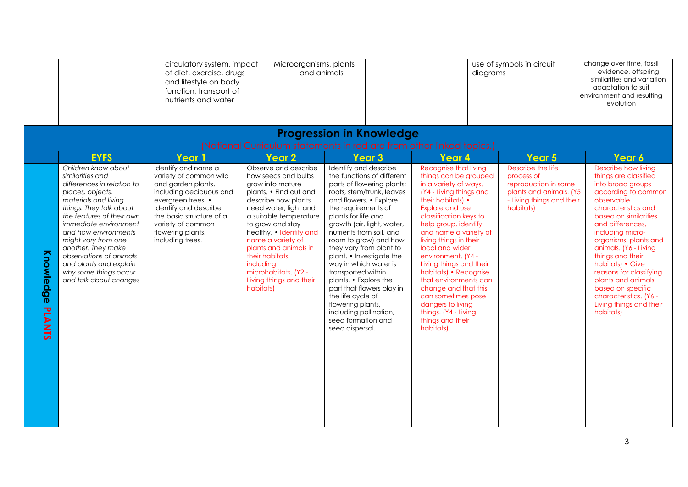|                            |                                                                                                                                                                                                                                                                                                                                                                                 | circulatory system, impact<br>of diet, exercise, drugs<br>and lifestyle on body<br>function, transport of<br>nutrients and water                                                                                                        | Microorganisms, plants<br>and animals                                                                                                                                                                                                                                                                                                                            |                                                                                                                                                                                                                                                                                                                                                                                                                                                                                                                                                    | diagrams                                                                                                                                                                                                                                                                                                                                                                                                                                                                                          | use of symbols in circuit                                                                                                    | change over time, fossil<br>evidence, offspring<br>similarities and variation<br>adaptation to suit<br>environment and resulting<br>evolution                                                                                                                                                                                                                                                                                    |
|----------------------------|---------------------------------------------------------------------------------------------------------------------------------------------------------------------------------------------------------------------------------------------------------------------------------------------------------------------------------------------------------------------------------|-----------------------------------------------------------------------------------------------------------------------------------------------------------------------------------------------------------------------------------------|------------------------------------------------------------------------------------------------------------------------------------------------------------------------------------------------------------------------------------------------------------------------------------------------------------------------------------------------------------------|----------------------------------------------------------------------------------------------------------------------------------------------------------------------------------------------------------------------------------------------------------------------------------------------------------------------------------------------------------------------------------------------------------------------------------------------------------------------------------------------------------------------------------------------------|---------------------------------------------------------------------------------------------------------------------------------------------------------------------------------------------------------------------------------------------------------------------------------------------------------------------------------------------------------------------------------------------------------------------------------------------------------------------------------------------------|------------------------------------------------------------------------------------------------------------------------------|----------------------------------------------------------------------------------------------------------------------------------------------------------------------------------------------------------------------------------------------------------------------------------------------------------------------------------------------------------------------------------------------------------------------------------|
|                            |                                                                                                                                                                                                                                                                                                                                                                                 |                                                                                                                                                                                                                                         |                                                                                                                                                                                                                                                                                                                                                                  | <b>Progression in Knowledge</b><br>(National Curriculum statements in red are from other linked topics.)                                                                                                                                                                                                                                                                                                                                                                                                                                           |                                                                                                                                                                                                                                                                                                                                                                                                                                                                                                   |                                                                                                                              |                                                                                                                                                                                                                                                                                                                                                                                                                                  |
|                            | <b>EYFS</b>                                                                                                                                                                                                                                                                                                                                                                     | Year 1                                                                                                                                                                                                                                  | Year <sub>2</sub>                                                                                                                                                                                                                                                                                                                                                | Year <sub>3</sub>                                                                                                                                                                                                                                                                                                                                                                                                                                                                                                                                  | Year 4                                                                                                                                                                                                                                                                                                                                                                                                                                                                                            | Year 5                                                                                                                       | Year 6                                                                                                                                                                                                                                                                                                                                                                                                                           |
| Knowledge<br><b>PLANTS</b> | Children know about<br>similarities and<br>differences in relation to<br>places, objects,<br>materials and living<br>things. They talk about<br>the features of their own<br>immediate environment<br>and how environments<br>might vary from one<br>another. They make<br>observations of animals<br>and plants and explain<br>why some things occur<br>and talk about changes | Identify and name a<br>variety of common wild<br>and garden plants,<br>including deciduous and<br>evergreen trees. •<br>Identify and describe<br>the basic structure of a<br>variety of common<br>flowering plants,<br>including trees. | Observe and describe<br>how seeds and bulbs<br>grow into mature<br>plants. • Find out and<br>describe how plants<br>need water, light and<br>a suitable temperature<br>to grow and stay<br>healthy. • Identify and<br>name a variety of<br>plants and animals in<br>their habitats.<br>including<br>microhabitats. (Y2 -<br>Living things and their<br>habitats) | Identify and describe<br>the functions of different<br>parts of flowering plants:<br>roots, stem/trunk, leaves<br>and flowers. • Explore<br>the requirements of<br>plants for life and<br>growth (air, light, water,<br>nutrients from soil, and<br>room to grow) and how<br>they vary from plant to<br>plant. • Investigate the<br>way in which water is<br>transported within<br>plants. • Explore the<br>part that flowers play in<br>the life cycle of<br>flowering plants,<br>including pollination,<br>seed formation and<br>seed dispersal. | Recognise that living<br>things can be grouped<br>in a variety of ways.<br>(Y4 - Living things and<br>their habitats) •<br>Explore and use<br>classification keys to<br>help group, identify<br>and name a variety of<br>living things in their<br>local and wider<br>environment. (Y4 -<br>Living things and their<br>habitats) • Recognise<br>that environments can<br>change and that this<br>can sometimes pose<br>dangers to living<br>things. (Y4 - Living<br>things and their<br>habitats) | Describe the life<br>process of<br>reproduction in some<br>plants and animals. (Y5<br>- Living things and their<br>habitats) | Describe how living<br>things are classified<br>into broad groups<br>according to common<br>observable<br>characteristics and<br>based on similarities<br>and differences.<br>including micro-<br>organisms, plants and<br>animals. (Y6 - Living<br>things and their<br>habitats) • Give<br>reasons for classifying<br>plants and animals<br>based on specific<br>characteristics. (Y6 -<br>Living things and their<br>habitats) |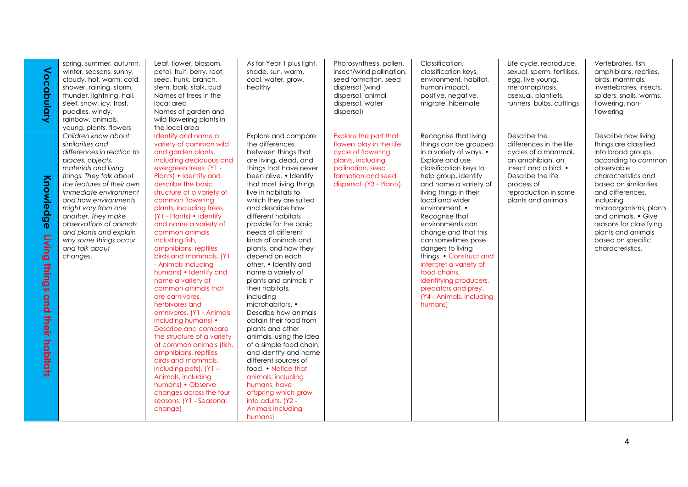| Vocabulary                                                    | spring, summer, autumn,<br>winter, seasons, sunny,<br>cloudy, hot, warm, cold,<br>shower, raining, storm,<br>thunder, lightning, hail,<br>sleet, snow, icy, frost,<br>puddles, windy,<br>rainbow, animals,<br>young, plants, flowers                                                                                                                                                | Leaf, flower, blossom,<br>petal, fruit, berry, root,<br>seed, trunk, branch,<br>stem, bark, stalk, bud<br>Names of trees in the<br>local area<br>Names of garden and<br>wild flowering plants in<br>the local area                                                                                                                                                                                                                                                                                                                                                                                                                                                                                                                                                                                                                                               | As for Year 1 plus light,<br>shade, sun, warm,<br>cool, water, grow,<br>healthy                                                                                                                                                                                                                                                                                                                                                                                                                                                                                                                                                                                                                                                                                                                                                     | Photosynthesis, pollen,<br>insect/wind pollination,<br>seed formation, seed<br>dispersal (wind<br>dispersal, animal<br>dispersal, water<br>dispersal)               | Classification,<br>classification keys,<br>environment, habitat,<br>human impact,<br>positive, negative,<br>migrate, hibernate                                                                                                                                                                                                                                                                                                                                                                               | Life cycle, reproduce,<br>sexual, sperm, fertilises,<br>egg, live young,<br>metamorphosis,<br>asexual, plantlets,<br>runners, bulbs, cuttings                                                        | Vertebrates, fish,<br>amphibians, reptiles,<br>birds, mammals,<br>invertebrates, insects,<br>spiders, snails, worms,<br>flowering, non-<br>flowering                                                                                                                                                                               |
|---------------------------------------------------------------|-------------------------------------------------------------------------------------------------------------------------------------------------------------------------------------------------------------------------------------------------------------------------------------------------------------------------------------------------------------------------------------|------------------------------------------------------------------------------------------------------------------------------------------------------------------------------------------------------------------------------------------------------------------------------------------------------------------------------------------------------------------------------------------------------------------------------------------------------------------------------------------------------------------------------------------------------------------------------------------------------------------------------------------------------------------------------------------------------------------------------------------------------------------------------------------------------------------------------------------------------------------|-------------------------------------------------------------------------------------------------------------------------------------------------------------------------------------------------------------------------------------------------------------------------------------------------------------------------------------------------------------------------------------------------------------------------------------------------------------------------------------------------------------------------------------------------------------------------------------------------------------------------------------------------------------------------------------------------------------------------------------------------------------------------------------------------------------------------------------|---------------------------------------------------------------------------------------------------------------------------------------------------------------------|--------------------------------------------------------------------------------------------------------------------------------------------------------------------------------------------------------------------------------------------------------------------------------------------------------------------------------------------------------------------------------------------------------------------------------------------------------------------------------------------------------------|------------------------------------------------------------------------------------------------------------------------------------------------------------------------------------------------------|------------------------------------------------------------------------------------------------------------------------------------------------------------------------------------------------------------------------------------------------------------------------------------------------------------------------------------|
| Knowledge<br>Living<br><b>things</b><br>qnd<br>their habitats | Children know about<br>similarities and<br>differences in relation to<br>places, objects,<br>materials and living<br>things. They talk about<br>the features of their own<br>immediate environment<br>and how environments<br>might vary from one<br>another. They make<br>observations of animals<br>and plants and explain<br>why some things occur<br>and talk about<br>changes. | Identify and name a<br>variety of common wild<br>and garden plants,<br>including deciduous and<br>evergreen trees. (Y1 -<br>Plants) • Identify and<br>describe the basic<br>structure of a variety of<br>common flowering<br>plants, including trees.<br>(Y1 - Plants) • Identify<br>and name a variety of<br>common animals<br>including fish,<br>amphibians, reptiles,<br>birds and mammals. (Y1<br>- Animals including<br>humans) • Identify and<br>name a variety of<br>common animals that<br>are carnivores.<br>herbivores and<br>omnivores. (Y1 - Animals<br>including humans) •<br>Describe and compare<br>the structure of a variety<br>of common animals (fish,<br>amphibians, reptiles,<br>birds and mammals,<br>including pets). $(Y1 -$<br>Animals, including<br>humans) • Observe<br>changes across the four<br>seasons. (Y1 - Seasonal<br>change) | Explore and compare<br>the differences<br>between things that<br>are living, dead, and<br>things that have never<br>been alive. • Identify<br>that most living things<br>live in habitats to<br>which they are suited<br>and describe how<br>different habitats<br>provide for the basic<br>needs of different<br>kinds of animals and<br>plants, and how they<br>depend on each<br>other. • Identify and<br>name a variety of<br>plants and animals in<br>their habitats,<br>including<br>microhabitats. •<br>Describe how animals<br>obtain their food from<br>plants and other<br>animals, using the idea<br>of a simple food chain,<br>and identify and name<br>different sources of<br>food. • Notice that<br>animals, including<br>humans, have<br>offspring which grow<br>into adults. (Y2 -<br>Animals including<br>humans) | Explore the part that<br>flowers play in the life<br>cycle of flowering<br>plants, including<br>pollination, seed<br>formation and seed<br>dispersal. (Y3 - Plants) | Recognise that living<br>things can be grouped<br>in a variety of ways. •<br>Explore and use<br>classification keys to<br>help group, identify<br>and name a variety of<br>living things in their<br>local and wider<br>environment. •<br>Recognise that<br>environments can<br>change and that this<br>can sometimes pose<br>dangers to living<br>things. • Construct and<br>interpret a variety of<br>food chains,<br>identifying producers,<br>predators and prey.<br>(Y4 - Animals, including<br>humans) | Describe the<br>differences in the life<br>cycles of a mammal,<br>an amphibian, an<br>insect and a bird. $\bullet$<br>Describe the life<br>process of<br>reproduction in some<br>plants and animals. | Describe how living<br>things are classified<br>into broad groups<br>according to common<br>observable<br>characteristics and<br>based on similarities<br>and differences,<br>including<br>microorganisms, plants<br>and animals. • Give<br>reasons for classifying<br>plants and animals<br>based on specific<br>characteristics. |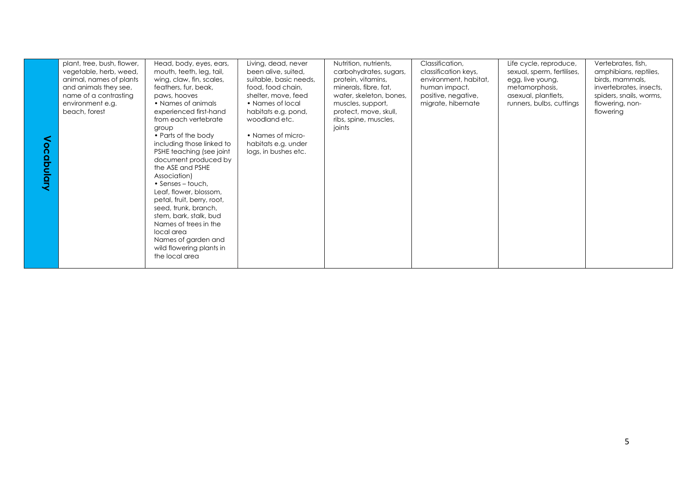| ocapulary | plant, tree, bush, flower,<br>vegetable, herb, weed,<br>animal, names of plants<br>and animals they see,<br>name of a contrasting<br>environment e.g.<br>beach, forest | Head, body, eyes, ears,<br>mouth, teeth, leg, tail,<br>wing, claw, fin, scales,<br>feathers, fur, beak,<br>paws, hooves<br>• Names of animals<br>experienced first-hand<br>from each vertebrate<br>group<br>• Parts of the body<br>including those linked to<br>PSHE teaching (see joint<br>document produced by<br>the ASE and PSHE<br>Association)<br>$\bullet$ Senses – touch,<br>Leaf, flower, blossom,<br>petal, fruit, berry, root,<br>seed, trunk, branch,<br>stem, bark, stalk, bud<br>Names of trees in the<br>local area<br>Names of garden and<br>wild flowering plants in<br>the local area | Living, dead, never<br>been alive, suited,<br>suitable, basic needs,<br>food, food chain,<br>shelter, move, feed<br>• Names of local<br>habitats e.g. pond,<br>woodland etc.<br>• Names of micro-<br>habitats e.g. under<br>logs, in bushes etc. | Nutrition, nutrients,<br>carbohydrates, sugars,<br>protein, vitamins,<br>minerals, fibre, fat,<br>water, skeleton, bones,<br>muscles, support,<br>protect, move, skull,<br>ribs, spine, muscles,<br>joints | Classification,<br>classification keys,<br>environment, habitat,<br>human impact,<br>positive, negative,<br>migrate, hibernate | Life cycle, reproduce,<br>sexual, sperm, fertilises,<br>egg, live young,<br>metamorphosis,<br>asexual, plantlets,<br>runners, bulbs, cuttings | Vertebrates, fish,<br>amphibians, reptiles,<br>birds, mammals,<br>invertebrates, insects,<br>spiders, snails, worms,<br>flowering, non-<br>flowering |
|-----------|------------------------------------------------------------------------------------------------------------------------------------------------------------------------|---------------------------------------------------------------------------------------------------------------------------------------------------------------------------------------------------------------------------------------------------------------------------------------------------------------------------------------------------------------------------------------------------------------------------------------------------------------------------------------------------------------------------------------------------------------------------------------------------------|--------------------------------------------------------------------------------------------------------------------------------------------------------------------------------------------------------------------------------------------------|------------------------------------------------------------------------------------------------------------------------------------------------------------------------------------------------------------|--------------------------------------------------------------------------------------------------------------------------------|-----------------------------------------------------------------------------------------------------------------------------------------------|------------------------------------------------------------------------------------------------------------------------------------------------------|
|-----------|------------------------------------------------------------------------------------------------------------------------------------------------------------------------|---------------------------------------------------------------------------------------------------------------------------------------------------------------------------------------------------------------------------------------------------------------------------------------------------------------------------------------------------------------------------------------------------------------------------------------------------------------------------------------------------------------------------------------------------------------------------------------------------------|--------------------------------------------------------------------------------------------------------------------------------------------------------------------------------------------------------------------------------------------------|------------------------------------------------------------------------------------------------------------------------------------------------------------------------------------------------------------|--------------------------------------------------------------------------------------------------------------------------------|-----------------------------------------------------------------------------------------------------------------------------------------------|------------------------------------------------------------------------------------------------------------------------------------------------------|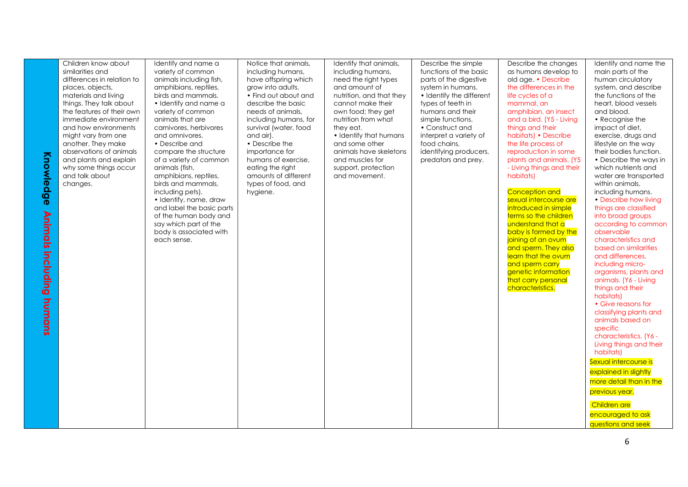| Knowle<br><u>୦</u><br>ဖ<br>$\boldsymbol{\Phi}$<br>Animals<br>including<br>humans | Children know about<br>similarities and<br>differences in relation to<br>places, objects,<br>materials and living<br>things. They talk about<br>the features of their own<br>immediate environment<br>and how environments<br>might vary from one<br>another. They make<br>observations of animals<br>and plants and explain<br>why some things occur<br>and talk about<br>changes. | Identify and name a<br>variety of common<br>animals including fish,<br>amphibians, reptiles,<br>birds and mammals.<br>· Identify and name a<br>variety of common<br>animals that are<br>carnivores, herbivores<br>and omnivores.<br>• Describe and<br>compare the structure<br>of a variety of common<br>animals (fish,<br>amphibians, reptiles,<br>birds and mammals,<br>including pets).<br>• Identify, name, draw<br>and label the basic parts<br>of the human body and<br>say which part of the<br>body is associated with<br>each sense. | Notice that animals,<br>including humans,<br>have offspring which<br>grow into adults.<br>• Find out about and<br>describe the basic<br>needs of animals,<br>including humans, for<br>survival (water, food<br>and air).<br>• Describe the<br>importance for<br>humans of exercise,<br>eating the right<br>amounts of different<br>types of food, and<br>hygiene. | Identify that animals,<br>including humans,<br>need the right types<br>and amount of<br>nutrition, and that they<br>cannot make their<br>own food; they get<br>nutrition from what<br>they eat.<br>• Identify that humans<br>and some other<br>animals have skeletons<br>and muscles for<br>support, protection<br>and movement. | Describe the simple<br>functions of the basic<br>parts of the digestive<br>system in humans.<br>• Identify the different<br>types of teeth in<br>humans and their<br>simple functions.<br>• Construct and<br>interpret a variety of<br>food chains,<br>identifying producers,<br>predators and prey. | Describe the changes<br>as humans develop to<br>old age. • Describe<br>the differences in the<br>life cycles of a<br>mammal, an<br>amphibian, an insect<br>and a bird. (Y5 - Living<br>things and their<br>habitats) • Describe<br>the life process of<br>reproduction in some<br>plants and animals. (Y5<br>- Living things and their<br>habitats)<br><b>Conception and</b><br>sexual intercourse are<br>introduced in simple<br>terms so the children<br>understand that a<br>baby is formed by the<br>joining of an ovum<br>and sperm. They also<br>learn that the ovum<br>and sperm carry<br>genetic information<br>that carry personal<br>characteristics. | Identify and name the<br>main parts of the<br>human circulatory<br>system, and describe<br>the functions of the<br>heart, blood vessels<br>and blood.<br>• Recognise the<br>impact of diet,<br>exercise, drugs and<br>lifestyle on the way<br>their bodies function.<br>• Describe the ways in<br>which nutrients and<br>water are transported<br>within animals,<br>including humans.<br>• Describe how living<br>things are classified<br>into broad groups<br>according to common<br>observable<br>characteristics and<br>based on similarities<br>and differences,<br>including micro-<br>organisms, plants and<br>animals. (Y6 - Living<br>things and their<br>habitats)<br>• Give reasons for<br>classifying plants and<br>animals based on<br>specific<br>characteristics. (Y6 -<br>Living things and their<br>habitats)<br>Sexual intercourse is<br>explained in slightly<br>more detail than in the<br>previous year.<br>Children are<br>encouraged to ask<br><b>questions and seek</b> |
|----------------------------------------------------------------------------------|-------------------------------------------------------------------------------------------------------------------------------------------------------------------------------------------------------------------------------------------------------------------------------------------------------------------------------------------------------------------------------------|-----------------------------------------------------------------------------------------------------------------------------------------------------------------------------------------------------------------------------------------------------------------------------------------------------------------------------------------------------------------------------------------------------------------------------------------------------------------------------------------------------------------------------------------------|-------------------------------------------------------------------------------------------------------------------------------------------------------------------------------------------------------------------------------------------------------------------------------------------------------------------------------------------------------------------|----------------------------------------------------------------------------------------------------------------------------------------------------------------------------------------------------------------------------------------------------------------------------------------------------------------------------------|------------------------------------------------------------------------------------------------------------------------------------------------------------------------------------------------------------------------------------------------------------------------------------------------------|-----------------------------------------------------------------------------------------------------------------------------------------------------------------------------------------------------------------------------------------------------------------------------------------------------------------------------------------------------------------------------------------------------------------------------------------------------------------------------------------------------------------------------------------------------------------------------------------------------------------------------------------------------------------|--------------------------------------------------------------------------------------------------------------------------------------------------------------------------------------------------------------------------------------------------------------------------------------------------------------------------------------------------------------------------------------------------------------------------------------------------------------------------------------------------------------------------------------------------------------------------------------------------------------------------------------------------------------------------------------------------------------------------------------------------------------------------------------------------------------------------------------------------------------------------------------------------------------------------------------------------------------------------------------------------|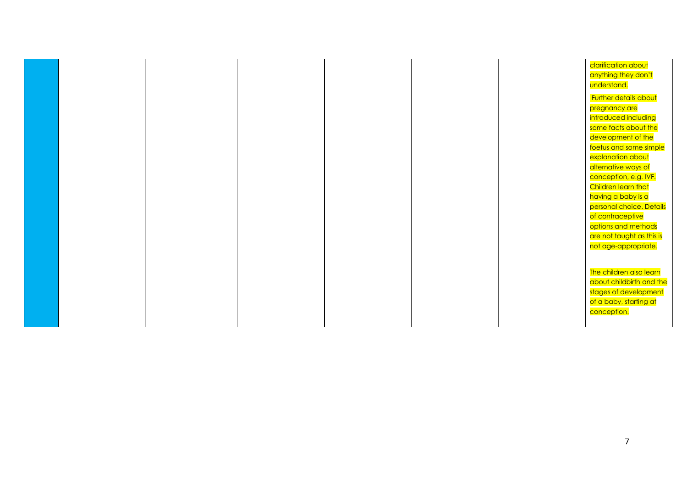|  |  |  | clarification about       |
|--|--|--|---------------------------|
|  |  |  | anything they don't       |
|  |  |  | understand.               |
|  |  |  | Further details about     |
|  |  |  | pregnancy are             |
|  |  |  | introduced including      |
|  |  |  | some facts about the      |
|  |  |  | development of the        |
|  |  |  | foetus and some simple    |
|  |  |  | explanation about         |
|  |  |  | alternative ways of       |
|  |  |  | conception, e.g. IVF.     |
|  |  |  | Children learn that       |
|  |  |  | having a baby is a        |
|  |  |  | personal choice. Details  |
|  |  |  | of contraceptive          |
|  |  |  | options and methods       |
|  |  |  | are not taught as this is |
|  |  |  | not age-appropriate.      |
|  |  |  |                           |
|  |  |  |                           |
|  |  |  | The children also learn   |
|  |  |  | about childbirth and the  |
|  |  |  | stages of development     |
|  |  |  | of a baby, starting at    |
|  |  |  | conception.               |
|  |  |  |                           |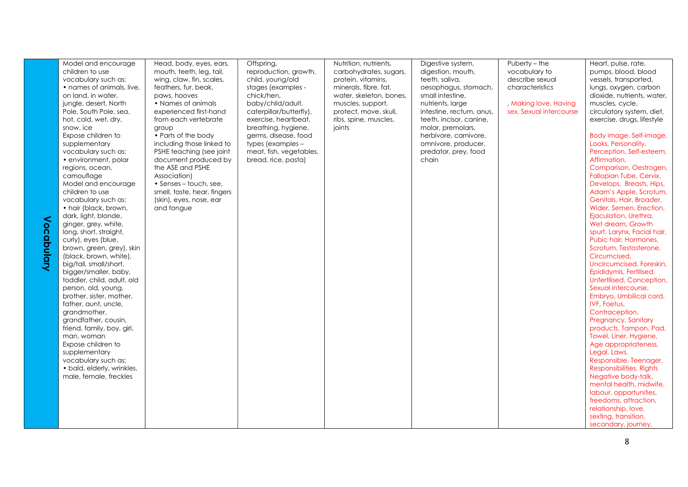| $\mathsf{S}$<br>$\boldsymbol{\Omega}$<br>$\Omega$<br>pulary | Model and encourage<br>children to use<br>vocabulary such as:<br>• names of animals, live,<br>on land, in water,<br>jungle, desert, North<br>Pole, South Pole, sea,<br>hot, cold, wet, dry,<br>snow, ice<br>Expose children to<br>supplementary<br>vocabulary such as:<br>• environment, polar<br>regions, ocean,<br>camouflage<br>Model and encourage<br>children to use<br>vocabulary such as:<br>• hair (black, brown,<br>dark, light, blonde,<br>ginger, grey, white,<br>long, short, straight,<br>curly), eyes (blue,<br>brown, green, grey), skin<br>(black, brown, white),<br>big/tall, small/short,<br>bigger/smaller, baby,<br>toddler, child, adult, old<br>person, old, young, | Head, body, eyes, ears,<br>mouth, teeth, leg, tail,<br>wing, claw, fin, scales,<br>feathers, fur, beak,<br>paws, hooves<br>• Names of animals<br>experienced first-hand<br>from each vertebrate<br>group<br>• Parts of the body<br>including those linked to<br>PSHE teaching (see joint<br>document produced by<br>the ASE and PSHE<br>Association)<br>• Senses – touch, see,<br>smell, taste, hear, fingers<br>(skin), eyes, nose, ear<br>and tongue | Offspring,<br>reproduction, growth,<br>child, young/old<br>stages (examples -<br>chick/hen,<br>baby/child/adult,<br>caterpillar/butterfly),<br>exercise, heartbeat,<br>breathing, hygiene,<br>germs, disease, food<br>types (examples -<br>meat, fish, vegetables,<br>bread, rice, pasta) | Nutrition, nutrients,<br>carbohydrates, sugars,<br>protein, vitamins,<br>minerals, fibre, fat,<br>water, skeleton, bones,<br>muscles, support,<br>protect, move, skull,<br>ribs, spine, muscles,<br>joints | Digestive system,<br>digestion, mouth,<br>teeth, saliva,<br>oesophagus, stomach,<br>small intestine,<br>nutrients, large<br>intestine, rectum, anus,<br>teeth, incisor, canine,<br>molar, premolars,<br>herbivore, carnivore,<br>omnivore, producer,<br>predator, prey, food<br>chain | Puberty – the<br>vocabulary to<br>describe sexual<br>characteristics<br>, Making love, Having<br>sex, Sexual intercourse | Heart, pulse, rate,<br>pumps, blood, blood<br>vessels, transported,<br>lungs, oxygen, carbon<br>dioxide, nutrients, water,<br>muscles, cycle,<br>circulatory system, diet,<br>exercise, drugs, lifestyle<br>Body image, Self-image,<br>Looks, Personality,<br>Perception, Self-esteem,<br>Affirmation,<br>Comparison, Oestrogen,<br>Fallopian Tube, Cervix,<br>Develops, Breasts, Hips,<br>Adam's Apple, Scrotum,<br>Genitals, Hair, Broader,<br>Wider, Semen, Erection,<br>Ejaculation, Urethra,<br>Wet dream, Growth<br>spurt, Larynx, Facial hair,<br>Pubic hair, Hormones,<br>Scrotum, Testosterone,<br>Circumcised,<br>Uncircumcised, Foreskin,<br>Epididymis, Fertilised,<br>Unfertilised, Conception,<br>Sexual intercourse, |
|-------------------------------------------------------------|-------------------------------------------------------------------------------------------------------------------------------------------------------------------------------------------------------------------------------------------------------------------------------------------------------------------------------------------------------------------------------------------------------------------------------------------------------------------------------------------------------------------------------------------------------------------------------------------------------------------------------------------------------------------------------------------|--------------------------------------------------------------------------------------------------------------------------------------------------------------------------------------------------------------------------------------------------------------------------------------------------------------------------------------------------------------------------------------------------------------------------------------------------------|-------------------------------------------------------------------------------------------------------------------------------------------------------------------------------------------------------------------------------------------------------------------------------------------|------------------------------------------------------------------------------------------------------------------------------------------------------------------------------------------------------------|---------------------------------------------------------------------------------------------------------------------------------------------------------------------------------------------------------------------------------------------------------------------------------------|--------------------------------------------------------------------------------------------------------------------------|-------------------------------------------------------------------------------------------------------------------------------------------------------------------------------------------------------------------------------------------------------------------------------------------------------------------------------------------------------------------------------------------------------------------------------------------------------------------------------------------------------------------------------------------------------------------------------------------------------------------------------------------------------------------------------------------------------------------------------------|
|                                                             |                                                                                                                                                                                                                                                                                                                                                                                                                                                                                                                                                                                                                                                                                           |                                                                                                                                                                                                                                                                                                                                                                                                                                                        |                                                                                                                                                                                                                                                                                           |                                                                                                                                                                                                            |                                                                                                                                                                                                                                                                                       |                                                                                                                          |                                                                                                                                                                                                                                                                                                                                                                                                                                                                                                                                                                                                                                                                                                                                     |
|                                                             |                                                                                                                                                                                                                                                                                                                                                                                                                                                                                                                                                                                                                                                                                           |                                                                                                                                                                                                                                                                                                                                                                                                                                                        |                                                                                                                                                                                                                                                                                           |                                                                                                                                                                                                            |                                                                                                                                                                                                                                                                                       |                                                                                                                          |                                                                                                                                                                                                                                                                                                                                                                                                                                                                                                                                                                                                                                                                                                                                     |
|                                                             |                                                                                                                                                                                                                                                                                                                                                                                                                                                                                                                                                                                                                                                                                           |                                                                                                                                                                                                                                                                                                                                                                                                                                                        |                                                                                                                                                                                                                                                                                           |                                                                                                                                                                                                            |                                                                                                                                                                                                                                                                                       |                                                                                                                          |                                                                                                                                                                                                                                                                                                                                                                                                                                                                                                                                                                                                                                                                                                                                     |
|                                                             |                                                                                                                                                                                                                                                                                                                                                                                                                                                                                                                                                                                                                                                                                           |                                                                                                                                                                                                                                                                                                                                                                                                                                                        |                                                                                                                                                                                                                                                                                           |                                                                                                                                                                                                            |                                                                                                                                                                                                                                                                                       |                                                                                                                          |                                                                                                                                                                                                                                                                                                                                                                                                                                                                                                                                                                                                                                                                                                                                     |
|                                                             |                                                                                                                                                                                                                                                                                                                                                                                                                                                                                                                                                                                                                                                                                           |                                                                                                                                                                                                                                                                                                                                                                                                                                                        |                                                                                                                                                                                                                                                                                           |                                                                                                                                                                                                            |                                                                                                                                                                                                                                                                                       |                                                                                                                          |                                                                                                                                                                                                                                                                                                                                                                                                                                                                                                                                                                                                                                                                                                                                     |
|                                                             |                                                                                                                                                                                                                                                                                                                                                                                                                                                                                                                                                                                                                                                                                           |                                                                                                                                                                                                                                                                                                                                                                                                                                                        |                                                                                                                                                                                                                                                                                           |                                                                                                                                                                                                            |                                                                                                                                                                                                                                                                                       |                                                                                                                          |                                                                                                                                                                                                                                                                                                                                                                                                                                                                                                                                                                                                                                                                                                                                     |
|                                                             |                                                                                                                                                                                                                                                                                                                                                                                                                                                                                                                                                                                                                                                                                           |                                                                                                                                                                                                                                                                                                                                                                                                                                                        |                                                                                                                                                                                                                                                                                           |                                                                                                                                                                                                            |                                                                                                                                                                                                                                                                                       |                                                                                                                          |                                                                                                                                                                                                                                                                                                                                                                                                                                                                                                                                                                                                                                                                                                                                     |
|                                                             |                                                                                                                                                                                                                                                                                                                                                                                                                                                                                                                                                                                                                                                                                           |                                                                                                                                                                                                                                                                                                                                                                                                                                                        |                                                                                                                                                                                                                                                                                           |                                                                                                                                                                                                            |                                                                                                                                                                                                                                                                                       |                                                                                                                          |                                                                                                                                                                                                                                                                                                                                                                                                                                                                                                                                                                                                                                                                                                                                     |
|                                                             |                                                                                                                                                                                                                                                                                                                                                                                                                                                                                                                                                                                                                                                                                           |                                                                                                                                                                                                                                                                                                                                                                                                                                                        |                                                                                                                                                                                                                                                                                           |                                                                                                                                                                                                            |                                                                                                                                                                                                                                                                                       |                                                                                                                          |                                                                                                                                                                                                                                                                                                                                                                                                                                                                                                                                                                                                                                                                                                                                     |
|                                                             |                                                                                                                                                                                                                                                                                                                                                                                                                                                                                                                                                                                                                                                                                           |                                                                                                                                                                                                                                                                                                                                                                                                                                                        |                                                                                                                                                                                                                                                                                           |                                                                                                                                                                                                            |                                                                                                                                                                                                                                                                                       |                                                                                                                          |                                                                                                                                                                                                                                                                                                                                                                                                                                                                                                                                                                                                                                                                                                                                     |
|                                                             |                                                                                                                                                                                                                                                                                                                                                                                                                                                                                                                                                                                                                                                                                           |                                                                                                                                                                                                                                                                                                                                                                                                                                                        |                                                                                                                                                                                                                                                                                           |                                                                                                                                                                                                            |                                                                                                                                                                                                                                                                                       |                                                                                                                          |                                                                                                                                                                                                                                                                                                                                                                                                                                                                                                                                                                                                                                                                                                                                     |
|                                                             | brother, sister, mother,                                                                                                                                                                                                                                                                                                                                                                                                                                                                                                                                                                                                                                                                  |                                                                                                                                                                                                                                                                                                                                                                                                                                                        |                                                                                                                                                                                                                                                                                           |                                                                                                                                                                                                            |                                                                                                                                                                                                                                                                                       |                                                                                                                          | Embryo, Umbilical cord,                                                                                                                                                                                                                                                                                                                                                                                                                                                                                                                                                                                                                                                                                                             |
|                                                             | father, aunt, uncle,                                                                                                                                                                                                                                                                                                                                                                                                                                                                                                                                                                                                                                                                      |                                                                                                                                                                                                                                                                                                                                                                                                                                                        |                                                                                                                                                                                                                                                                                           |                                                                                                                                                                                                            |                                                                                                                                                                                                                                                                                       |                                                                                                                          | <b>IVF, Foetus,</b>                                                                                                                                                                                                                                                                                                                                                                                                                                                                                                                                                                                                                                                                                                                 |
|                                                             | arandmother.                                                                                                                                                                                                                                                                                                                                                                                                                                                                                                                                                                                                                                                                              |                                                                                                                                                                                                                                                                                                                                                                                                                                                        |                                                                                                                                                                                                                                                                                           |                                                                                                                                                                                                            |                                                                                                                                                                                                                                                                                       |                                                                                                                          | Contraception,                                                                                                                                                                                                                                                                                                                                                                                                                                                                                                                                                                                                                                                                                                                      |
|                                                             | grandfather, cousin,                                                                                                                                                                                                                                                                                                                                                                                                                                                                                                                                                                                                                                                                      |                                                                                                                                                                                                                                                                                                                                                                                                                                                        |                                                                                                                                                                                                                                                                                           |                                                                                                                                                                                                            |                                                                                                                                                                                                                                                                                       |                                                                                                                          | Pregnancy, Sanitary                                                                                                                                                                                                                                                                                                                                                                                                                                                                                                                                                                                                                                                                                                                 |
|                                                             | friend, family, boy, girl,                                                                                                                                                                                                                                                                                                                                                                                                                                                                                                                                                                                                                                                                |                                                                                                                                                                                                                                                                                                                                                                                                                                                        |                                                                                                                                                                                                                                                                                           |                                                                                                                                                                                                            |                                                                                                                                                                                                                                                                                       |                                                                                                                          | products, Tampon, Pad,                                                                                                                                                                                                                                                                                                                                                                                                                                                                                                                                                                                                                                                                                                              |
|                                                             | man, woman<br>Expose children to                                                                                                                                                                                                                                                                                                                                                                                                                                                                                                                                                                                                                                                          |                                                                                                                                                                                                                                                                                                                                                                                                                                                        |                                                                                                                                                                                                                                                                                           |                                                                                                                                                                                                            |                                                                                                                                                                                                                                                                                       |                                                                                                                          | Towel, Liner, Hygiene,<br>Age appropriateness,                                                                                                                                                                                                                                                                                                                                                                                                                                                                                                                                                                                                                                                                                      |
|                                                             | supplementary                                                                                                                                                                                                                                                                                                                                                                                                                                                                                                                                                                                                                                                                             |                                                                                                                                                                                                                                                                                                                                                                                                                                                        |                                                                                                                                                                                                                                                                                           |                                                                                                                                                                                                            |                                                                                                                                                                                                                                                                                       |                                                                                                                          | Legal, Laws,                                                                                                                                                                                                                                                                                                                                                                                                                                                                                                                                                                                                                                                                                                                        |
|                                                             | vocabulary such as:                                                                                                                                                                                                                                                                                                                                                                                                                                                                                                                                                                                                                                                                       |                                                                                                                                                                                                                                                                                                                                                                                                                                                        |                                                                                                                                                                                                                                                                                           |                                                                                                                                                                                                            |                                                                                                                                                                                                                                                                                       |                                                                                                                          | Responsible, Teenager,                                                                                                                                                                                                                                                                                                                                                                                                                                                                                                                                                                                                                                                                                                              |
|                                                             | · bald, elderly, wrinkles,                                                                                                                                                                                                                                                                                                                                                                                                                                                                                                                                                                                                                                                                |                                                                                                                                                                                                                                                                                                                                                                                                                                                        |                                                                                                                                                                                                                                                                                           |                                                                                                                                                                                                            |                                                                                                                                                                                                                                                                                       |                                                                                                                          | Responsibilities, Rights                                                                                                                                                                                                                                                                                                                                                                                                                                                                                                                                                                                                                                                                                                            |
|                                                             | male, female, freckles                                                                                                                                                                                                                                                                                                                                                                                                                                                                                                                                                                                                                                                                    |                                                                                                                                                                                                                                                                                                                                                                                                                                                        |                                                                                                                                                                                                                                                                                           |                                                                                                                                                                                                            |                                                                                                                                                                                                                                                                                       |                                                                                                                          | Negative body-talk,                                                                                                                                                                                                                                                                                                                                                                                                                                                                                                                                                                                                                                                                                                                 |
|                                                             |                                                                                                                                                                                                                                                                                                                                                                                                                                                                                                                                                                                                                                                                                           |                                                                                                                                                                                                                                                                                                                                                                                                                                                        |                                                                                                                                                                                                                                                                                           |                                                                                                                                                                                                            |                                                                                                                                                                                                                                                                                       |                                                                                                                          | mental health, midwife,<br>labour, opportunities,                                                                                                                                                                                                                                                                                                                                                                                                                                                                                                                                                                                                                                                                                   |
|                                                             |                                                                                                                                                                                                                                                                                                                                                                                                                                                                                                                                                                                                                                                                                           |                                                                                                                                                                                                                                                                                                                                                                                                                                                        |                                                                                                                                                                                                                                                                                           |                                                                                                                                                                                                            |                                                                                                                                                                                                                                                                                       |                                                                                                                          | freedoms, attraction,                                                                                                                                                                                                                                                                                                                                                                                                                                                                                                                                                                                                                                                                                                               |
|                                                             |                                                                                                                                                                                                                                                                                                                                                                                                                                                                                                                                                                                                                                                                                           |                                                                                                                                                                                                                                                                                                                                                                                                                                                        |                                                                                                                                                                                                                                                                                           |                                                                                                                                                                                                            |                                                                                                                                                                                                                                                                                       |                                                                                                                          | relationship, love,                                                                                                                                                                                                                                                                                                                                                                                                                                                                                                                                                                                                                                                                                                                 |
|                                                             |                                                                                                                                                                                                                                                                                                                                                                                                                                                                                                                                                                                                                                                                                           |                                                                                                                                                                                                                                                                                                                                                                                                                                                        |                                                                                                                                                                                                                                                                                           |                                                                                                                                                                                                            |                                                                                                                                                                                                                                                                                       |                                                                                                                          | sexting, transition,                                                                                                                                                                                                                                                                                                                                                                                                                                                                                                                                                                                                                                                                                                                |
|                                                             |                                                                                                                                                                                                                                                                                                                                                                                                                                                                                                                                                                                                                                                                                           |                                                                                                                                                                                                                                                                                                                                                                                                                                                        |                                                                                                                                                                                                                                                                                           |                                                                                                                                                                                                            |                                                                                                                                                                                                                                                                                       |                                                                                                                          | secondary, journey,                                                                                                                                                                                                                                                                                                                                                                                                                                                                                                                                                                                                                                                                                                                 |

8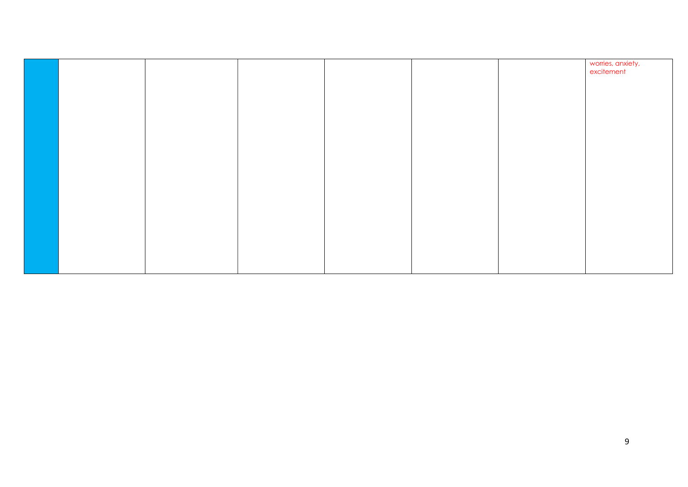|  |  |  | worries, anxiety,<br>excitement |
|--|--|--|---------------------------------|
|  |  |  |                                 |
|  |  |  |                                 |
|  |  |  |                                 |
|  |  |  |                                 |
|  |  |  |                                 |
|  |  |  |                                 |
|  |  |  |                                 |
|  |  |  |                                 |
|  |  |  |                                 |
|  |  |  |                                 |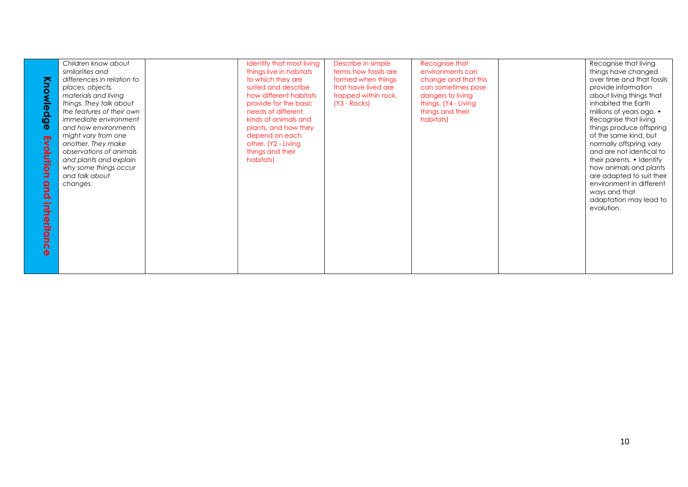| Knowledge<br>Evolution<br>qnd<br>inheritan<br>$\Omega$<br>$\ddot{\mathbf{a}}$ | Children know about<br>similarities and<br>differences in relation to<br>places, objects,<br>materials and living<br>things. They talk about<br>the features of their own<br><i>immediate environment</i><br>and how environments<br>might vary from one<br>another. They make<br>observations of animals<br>and plants and explain<br>why some things occur<br>and talk about<br>changes. | Identify that most living<br>things live in habitats<br>to which they are<br>suited and describe<br>how different habitats<br>provide for the basic<br>needs of different<br>kinds of animals and<br>plants, and how they<br>depend on each<br>other. (Y2 - Living<br>things and their<br>habitats) | Describe in simple<br>terms how fossils are<br>formed when things<br>that have lived are<br>trapped within rock.<br>$(Y3 - Rocks)$ | Recognise that<br>environments can<br>change and that this<br>can sometimes pose<br>dangers to living<br>things. (Y4 - Living<br>things and their<br>habitats) |  | Recognise that living<br>things have changed<br>over time and that fossils<br>provide information<br>about living things that<br>inhabited the Earth<br>millions of years ago. $\cdot$<br>Recognise that living<br>things produce offspring<br>of the same kind, but<br>normally offspring vary<br>and are not identical to<br>their parents. • Identify<br>how animals and plants<br>are adapted to suit their<br>environment in different<br>ways and that<br>adaptation may lead to<br>evolution. |
|-------------------------------------------------------------------------------|--------------------------------------------------------------------------------------------------------------------------------------------------------------------------------------------------------------------------------------------------------------------------------------------------------------------------------------------------------------------------------------------|-----------------------------------------------------------------------------------------------------------------------------------------------------------------------------------------------------------------------------------------------------------------------------------------------------|------------------------------------------------------------------------------------------------------------------------------------|----------------------------------------------------------------------------------------------------------------------------------------------------------------|--|------------------------------------------------------------------------------------------------------------------------------------------------------------------------------------------------------------------------------------------------------------------------------------------------------------------------------------------------------------------------------------------------------------------------------------------------------------------------------------------------------|
|-------------------------------------------------------------------------------|--------------------------------------------------------------------------------------------------------------------------------------------------------------------------------------------------------------------------------------------------------------------------------------------------------------------------------------------------------------------------------------------|-----------------------------------------------------------------------------------------------------------------------------------------------------------------------------------------------------------------------------------------------------------------------------------------------------|------------------------------------------------------------------------------------------------------------------------------------|----------------------------------------------------------------------------------------------------------------------------------------------------------------|--|------------------------------------------------------------------------------------------------------------------------------------------------------------------------------------------------------------------------------------------------------------------------------------------------------------------------------------------------------------------------------------------------------------------------------------------------------------------------------------------------------|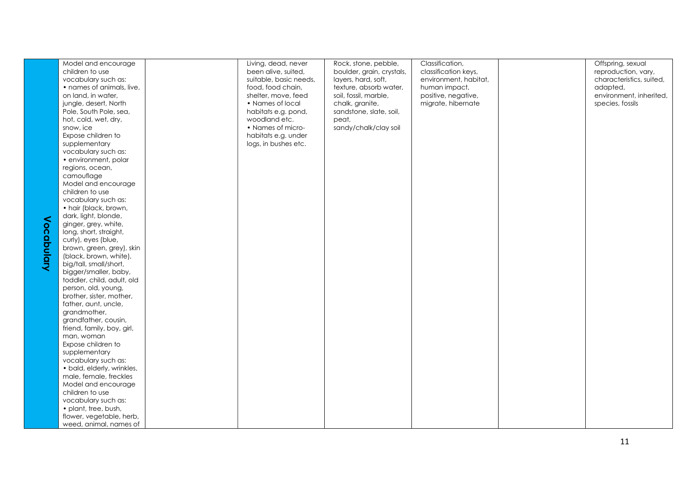| Model and encourage        | Living, dead, never    | Rock, stone, pebble,      | Classification,       | Offspring, sexual        |
|----------------------------|------------------------|---------------------------|-----------------------|--------------------------|
| children to use            | been alive, suited,    | boulder, grain, crystals, | classification keys,  | reproduction, vary,      |
| vocabulary such as:        | suitable, basic needs, | layers, hard, soft,       | environment, habitat, | characteristics, suited, |
| • names of animals, live,  | food, food chain,      | texture, absorb water,    | human impact,         | adapted,                 |
| on land, in water,         | shelter, move, feed    | soil, fossil, marble,     | positive, negative,   | environment, inherited,  |
| jungle, desert, North      | • Names of local       | chalk, granite,           | migrate, hibernate    | species, fossils         |
| Pole, South Pole, sea,     | habitats e.g. pond,    | sandstone, slate, soil,   |                       |                          |
| hot, cold, wet, dry,       | woodland etc.          | peat,                     |                       |                          |
| snow, ice                  | • Names of micro-      | sandy/chalk/clay soil     |                       |                          |
| Expose children to         | habitats e.g. under    |                           |                       |                          |
| supplementary              | logs, in bushes etc.   |                           |                       |                          |
| vocabulary such as:        |                        |                           |                       |                          |
| • environment, polar       |                        |                           |                       |                          |
| regions, ocean,            |                        |                           |                       |                          |
| camouflage                 |                        |                           |                       |                          |
|                            |                        |                           |                       |                          |
| Model and encourage        |                        |                           |                       |                          |
| children to use            |                        |                           |                       |                          |
| vocabulary such as:        |                        |                           |                       |                          |
| • hair (black, brown,      |                        |                           |                       |                          |
| dark, light, blonde,       |                        |                           |                       |                          |
| ginger, grey, white,       |                        |                           |                       |                          |
| long, short, straight,     |                        |                           |                       |                          |
| curly), eyes (blue,        |                        |                           |                       |                          |
| brown, green, grey), skin  |                        |                           |                       |                          |
| (black, brown, white),     |                        |                           |                       |                          |
| big/tall, small/short,     |                        |                           |                       |                          |
| bigger/smaller, baby,      |                        |                           |                       |                          |
| toddler, child, adult, old |                        |                           |                       |                          |
| person, old, young,        |                        |                           |                       |                          |
| brother, sister, mother,   |                        |                           |                       |                          |
| father, aunt, uncle,       |                        |                           |                       |                          |
| grandmother,               |                        |                           |                       |                          |
| grandfather, cousin,       |                        |                           |                       |                          |
| friend, family, boy, girl, |                        |                           |                       |                          |
| man, woman                 |                        |                           |                       |                          |
| Expose children to         |                        |                           |                       |                          |
| supplementary              |                        |                           |                       |                          |
| vocabulary such as:        |                        |                           |                       |                          |
| • bald, elderly, wrinkles, |                        |                           |                       |                          |
| male, female, freckles     |                        |                           |                       |                          |
| Model and encourage        |                        |                           |                       |                          |
| children to use            |                        |                           |                       |                          |
|                            |                        |                           |                       |                          |
| vocabulary such as:        |                        |                           |                       |                          |
| • plant, tree, bush,       |                        |                           |                       |                          |
| flower, vegetable, herb,   |                        |                           |                       |                          |
| weed, animal, names of     |                        |                           |                       |                          |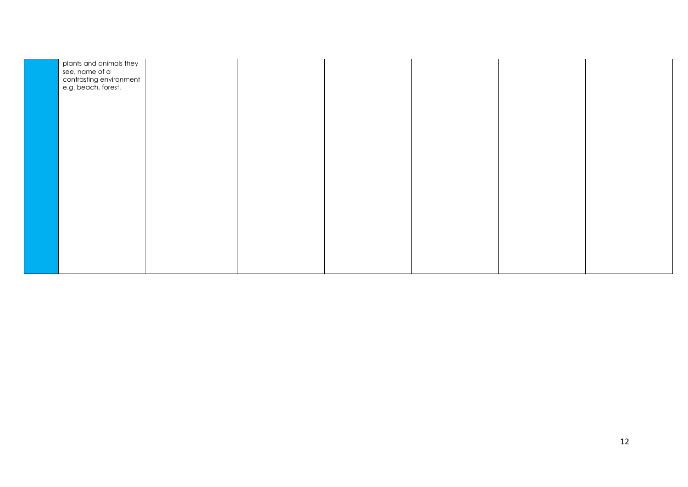| plants and animals they<br>see, name of a<br>contrasting environment<br>e.g. beach, forest. |  |  |  |
|---------------------------------------------------------------------------------------------|--|--|--|
|                                                                                             |  |  |  |
|                                                                                             |  |  |  |
|                                                                                             |  |  |  |
|                                                                                             |  |  |  |
|                                                                                             |  |  |  |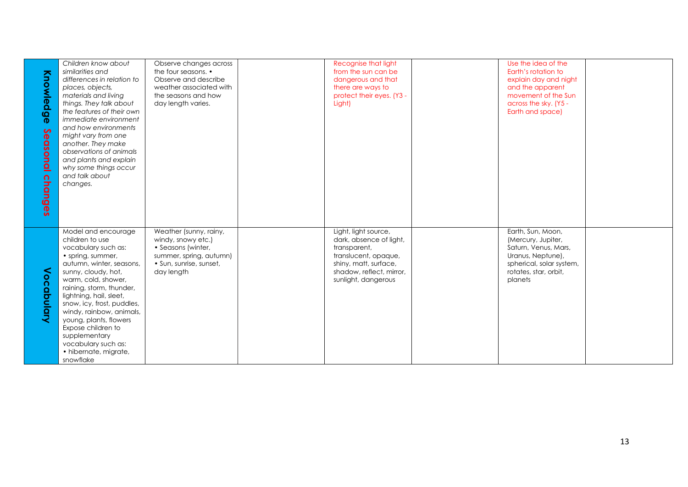| Knowledg<br>$\boldsymbol{\Phi}$<br>$\sim$<br>$\overline{\mathbf{0}}$<br>asonal | Children know about<br>similarities and<br>differences in relation to<br>places, objects,<br>materials and living<br>things. They talk about<br>the features of their own<br><i>immediate environment</i><br>and how environments<br>might vary from one<br>another. They make<br>observations of animals<br>and plants and explain<br>why some things occur<br>and talk about | Observe changes across<br>the four seasons. •<br>Observe and describe<br>weather associated with<br>the seasons and how<br>day length varies. | Recognise that light<br>from the sun can be<br>dangerous and that<br>there are ways to<br>protect their eyes. (Y3 -<br>Light)                                       | Use the idea of the<br>Earth's rotation to<br>explain day and night<br>and the apparent<br>movement of the Sun<br>across the sky. (Y5 -<br>Earth and space) |  |
|--------------------------------------------------------------------------------|--------------------------------------------------------------------------------------------------------------------------------------------------------------------------------------------------------------------------------------------------------------------------------------------------------------------------------------------------------------------------------|-----------------------------------------------------------------------------------------------------------------------------------------------|---------------------------------------------------------------------------------------------------------------------------------------------------------------------|-------------------------------------------------------------------------------------------------------------------------------------------------------------|--|
| changes                                                                        | changes.<br>Model and encourage<br>children to use<br>vocabulary such as:<br>• spring, summer,<br>autumn, winter, seasons,<br>sunny, cloudy, hot,<br>warm, cold, shower,<br>raining, storm, thunder,                                                                                                                                                                           | Weather (sunny, rainy,<br>windy, snowy etc.)<br>• Seasons (winter,<br>summer, spring, autumn)<br>· Sun, sunrise, sunset,<br>day length        | Light, light source,<br>dark, absence of light,<br>transparent,<br>translucent, opaque,<br>shiny, matt, surface,<br>shadow, reflect, mirror,<br>sunlight, dangerous | Earth, Sun, Moon,<br>(Mercury, Jupiter,<br>Saturn, Venus, Mars,<br>Uranus, Neptune),<br>spherical, solar system,<br>rotates, star, orbit,<br>planets        |  |
| Vocabulary                                                                     | lightning, hail, sleet,<br>snow, icy, frost, puddles,<br>windy, rainbow, animals,<br>young, plants, flowers<br>Expose children to<br>supplementary<br>vocabulary such as:<br>· hibernate, migrate,<br>snowflake                                                                                                                                                                |                                                                                                                                               |                                                                                                                                                                     |                                                                                                                                                             |  |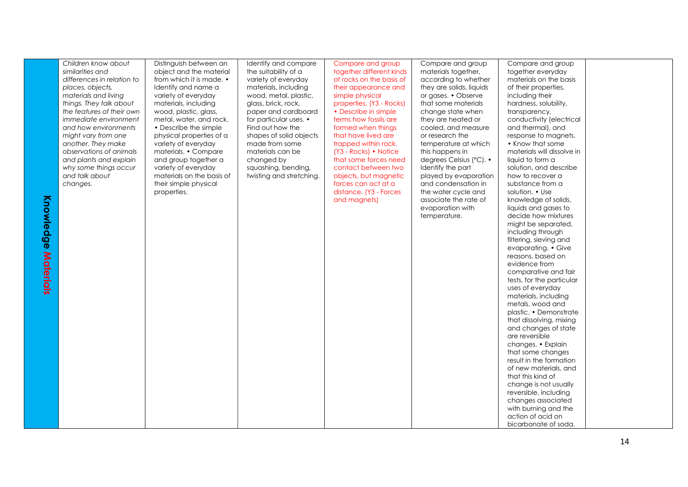| Knowled<br>9Õ<br>Materials | Children know about<br>similarities and<br>differences in relation to<br>places, objects,<br>materials and living<br>things. They talk about<br>the features of their own<br><i>immediate environment</i><br>and how environments<br>might vary from one<br>another. They make<br>observations of animals<br>and plants and explain<br>why some things occur<br>and talk about<br>changes. | Distinguish between an<br>object and the material<br>from which it is made. •<br>Identify and name a<br>variety of everyday<br>materials, including<br>wood, plastic, glass,<br>metal, water, and rock.<br>• Describe the simple<br>physical properties of a<br>variety of everyday<br>materials. • Compare<br>and group together a<br>variety of everyday<br>materials on the basis of<br>their simple physical<br>properties. | Identify and compare<br>the suitability of a<br>variety of everyday<br>materials, including<br>wood, metal, plastic,<br>glass, brick, rock,<br>paper and cardboard<br>for particular uses. •<br>Find out how the<br>shapes of solid objects<br>made from some<br>materials can be<br>changed by<br>squashing, bending,<br>twisting and stretching. | Compare and group<br>together different kinds<br>of rocks on the basis of<br>their appearance and<br>simple physical<br>properties. (Y3 - Rocks)<br>• Describe in simple<br>terms how fossils are<br>formed when things<br>that have lived are<br>trapped within rock.<br>(Y3 - Rocks) • Notice<br>that some forces need<br>contact between two<br>objects, but magnetic<br>forces can act at a<br>distance. (Y3 - Forces<br>and magnets) | Compare and group<br>materials together,<br>according to whether<br>they are solids, liquids<br>or gases. • Observe<br>that some materials<br>change state when<br>they are heated or<br>cooled, and measure<br>or research the<br>temperature at which<br>this happens in<br>degrees Celsius (°C). •<br>Identify the part<br>played by evaporation<br>and condensation in<br>the water cycle and<br>associate the rate of<br>evaporation with<br>temperature. | Compare and group<br>together everyday<br>materials on the basis<br>of their properties,<br>including their<br>hardness, solubility,<br>transparency,<br>conductivity (electrical<br>and thermal), and<br>response to magnets.<br>• Know that some<br>materials will dissolve in<br>liquid to form a<br>solution, and describe<br>how to recover a<br>substance from a<br>solution. • Use<br>knowledge of solids,<br>liquids and gases to<br>decide how mixtures<br>might be separated,<br>including through<br>filtering, sieving and<br>evaporating. • Give<br>reasons, based on<br>evidence from<br>comparative and fair<br>tests, for the particular<br>uses of everyday<br>materials, including<br>metals, wood and<br>plastic. • Demonstrate<br>that dissolving, mixing<br>and changes of state<br>are reversible<br>changes. • Explain<br>that some changes<br>result in the formation<br>of new materials, and<br>that this kind of<br>change is not usually<br>reversible, including<br>changes associated<br>with burning and the<br>action of acid on<br>bicarbonate of soda. |  |
|----------------------------|--------------------------------------------------------------------------------------------------------------------------------------------------------------------------------------------------------------------------------------------------------------------------------------------------------------------------------------------------------------------------------------------|---------------------------------------------------------------------------------------------------------------------------------------------------------------------------------------------------------------------------------------------------------------------------------------------------------------------------------------------------------------------------------------------------------------------------------|----------------------------------------------------------------------------------------------------------------------------------------------------------------------------------------------------------------------------------------------------------------------------------------------------------------------------------------------------|-------------------------------------------------------------------------------------------------------------------------------------------------------------------------------------------------------------------------------------------------------------------------------------------------------------------------------------------------------------------------------------------------------------------------------------------|----------------------------------------------------------------------------------------------------------------------------------------------------------------------------------------------------------------------------------------------------------------------------------------------------------------------------------------------------------------------------------------------------------------------------------------------------------------|------------------------------------------------------------------------------------------------------------------------------------------------------------------------------------------------------------------------------------------------------------------------------------------------------------------------------------------------------------------------------------------------------------------------------------------------------------------------------------------------------------------------------------------------------------------------------------------------------------------------------------------------------------------------------------------------------------------------------------------------------------------------------------------------------------------------------------------------------------------------------------------------------------------------------------------------------------------------------------------------------------------------------------------------------------------------------------------|--|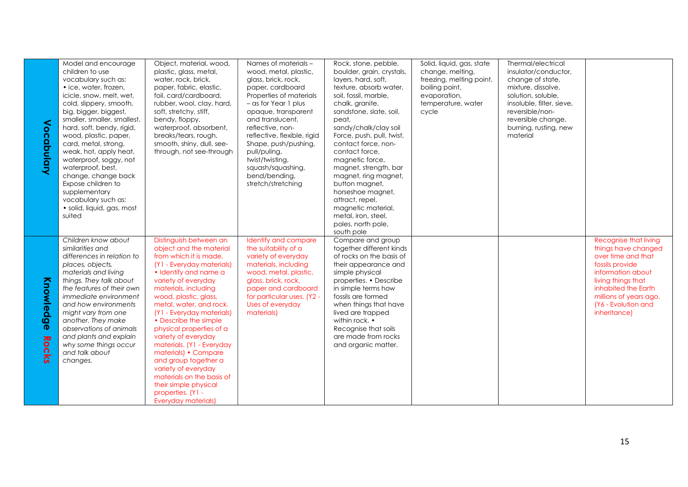| Vocabulary         | Model and encourage<br>children to use<br>vocabulary such as:<br>• ice, water, frozen,<br>icicle, snow, melt, wet,<br>cold, slippery, smooth,<br>big, bigger, biggest,<br>smaller, smaller, smallest,<br>hard, soft, bendy, rigid,<br>wood, plastic, paper,<br>card, metal, strong,<br>weak, hot, apply heat,<br>waterproof, soggy, not<br>waterproof, best,<br>change, change back<br>Expose children to<br>supplementary<br>vocabulary such as:<br>· solid, liquid, gas, most<br>suited | Object, material, wood,<br>plastic, glass, metal,<br>water, rock, brick,<br>paper, fabric, elastic,<br>foil, card/cardboard,<br>rubber, wool, clay, hard,<br>soft, stretchy, stiff,<br>bendy, floppy,<br>waterproof, absorbent,<br>breaks/tears, rough,<br>smooth, shiny, dull, see-<br>through, not see-through                                                                                                                                                                                                                                    | Names of materials -<br>wood, metal, plastic,<br>glass, brick, rock,<br>paper, cardboard<br>Properties of materials<br>- as for Year 1 plus<br>opaque, transparent<br>and translucent.<br>reflective, non-<br>reflective, flexible, rigid<br>Shape, push/pushing,<br>pull/puling,<br>twist/twisting,<br>squash/squashing,<br>bend/bending,<br>stretch/stretching | Rock, stone, pebble,<br>boulder, grain, crystals,<br>layers, hard, soft,<br>texture, absorb water,<br>soil, fossil, marble,<br>chalk, granite,<br>sandstone, slate, soil,<br>peat.<br>sandy/chalk/clay soil<br>Force, push, pull, twist,<br>contact force, non-<br>contact force,<br>magnetic force,<br>magnet, strength, bar<br>magnet, ring magnet,<br>button magnet,<br>horseshoe magnet,<br>attract, repel,<br>magnetic material,<br>metal, iron, steel,<br>poles, north pole,<br>south pole | Solid, liquid, gas, state<br>change, melting,<br>freezing, melting point,<br>boiling point,<br>evaporation,<br>temperature, water<br>cycle | Thermal/electrical<br>insulator/conductor,<br>change of state,<br>mixture, dissolve,<br>solution, soluble,<br>insoluble, filter, sieve,<br>reversible/non-<br>reversible change,<br>burning, rusting, new<br>material |                                                                                                                                                                                                                          |
|--------------------|-------------------------------------------------------------------------------------------------------------------------------------------------------------------------------------------------------------------------------------------------------------------------------------------------------------------------------------------------------------------------------------------------------------------------------------------------------------------------------------------|-----------------------------------------------------------------------------------------------------------------------------------------------------------------------------------------------------------------------------------------------------------------------------------------------------------------------------------------------------------------------------------------------------------------------------------------------------------------------------------------------------------------------------------------------------|------------------------------------------------------------------------------------------------------------------------------------------------------------------------------------------------------------------------------------------------------------------------------------------------------------------------------------------------------------------|--------------------------------------------------------------------------------------------------------------------------------------------------------------------------------------------------------------------------------------------------------------------------------------------------------------------------------------------------------------------------------------------------------------------------------------------------------------------------------------------------|--------------------------------------------------------------------------------------------------------------------------------------------|-----------------------------------------------------------------------------------------------------------------------------------------------------------------------------------------------------------------------|--------------------------------------------------------------------------------------------------------------------------------------------------------------------------------------------------------------------------|
| Knowledge<br>Rocks | Children know about<br>similarities and<br>differences in relation to<br>places, objects,<br>materials and living<br>things. They talk about<br>the features of their own<br>immediate environment<br>and how environments<br>might vary from one<br>another. They make<br>observations of animals<br>and plants and explain<br>why some things occur<br>and talk about<br>changes.                                                                                                       | Distinguish between an<br>object and the material<br>from which it is made.<br>(Y1 - Everyday materials)<br>· Identify and name a<br>variety of everyday<br>materials, including<br>wood, plastic, glass,<br>metal, water, and rock.<br>(Y1 - Everyday materials)<br>• Describe the simple<br>physical properties of a<br>variety of everyday<br>materials. (Y1 - Everyday<br>materials) • Compare<br>and group together a<br>variety of everyday<br>materials on the basis of<br>their simple physical<br>properties. (Y1 -<br>Everyday materials) | Identify and compare<br>the suitability of a<br>variety of everyday<br>materials, including<br>wood, metal, plastic,<br>glass, brick, rock,<br>paper and cardboard<br>for particular uses. (Y2 -<br>Uses of everyday<br>materials)                                                                                                                               | Compare and group<br>together different kinds<br>of rocks on the basis of<br>their appearance and<br>simple physical<br>properties. • Describe<br>in simple terms how<br>fossils are formed<br>when things that have<br>lived are trapped<br>within rock. •<br>Recognise that soils<br>are made from rocks<br>and organic matter.                                                                                                                                                                |                                                                                                                                            |                                                                                                                                                                                                                       | Recognise that living<br>things have changed<br>over time and that<br>fossils provide<br>information about<br>living things that<br>inhabited the Earth<br>millions of years ago.<br>(Y6 - Evolution and<br>inheritance) |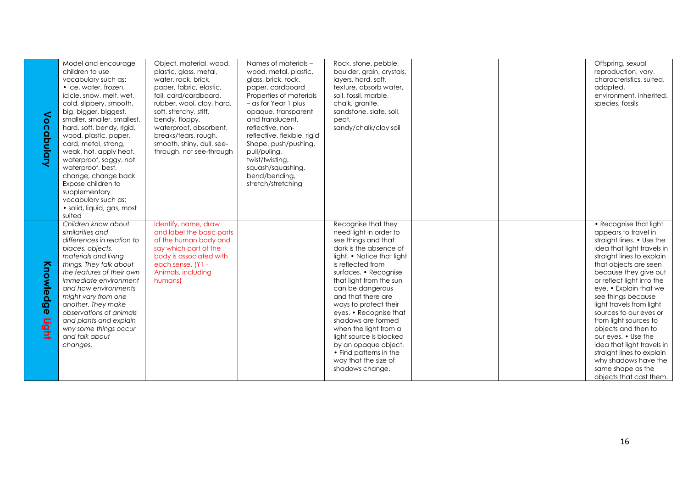|                    | Model and encourage<br>children to use<br>vocabulary such as:<br>• ice, water, frozen,<br>icicle, snow, melt, wet,<br>cold, slippery, smooth,                                                                                                                                                                                                                                       | Object, material, wood,<br>plastic, glass, metal,<br>water, rock, brick,<br>paper, fabric, elastic,<br>foil, card/cardboard,<br>rubber, wool, clay, hard,                            | Names of materials -<br>wood, metal, plastic,<br>glass, brick, rock,<br>paper, cardboard<br>Properties of materials<br>$-$ as for Year 1 plus                                                                     | Rock, stone, pebble,<br>boulder, grain, crystals,<br>layers, hard, soft,<br>texture, absorb water,<br>soil, fossil, marble,<br>chalk, granite,                                                                                                                                                                                                                                                                                                                            |  | Offspring, sexual<br>reproduction, vary,<br>characteristics, suited,<br>adapted,<br>environment, inherited,<br>species, fossils                                                                                                                                                                                                                                                                                                                                                                                                       |
|--------------------|-------------------------------------------------------------------------------------------------------------------------------------------------------------------------------------------------------------------------------------------------------------------------------------------------------------------------------------------------------------------------------------|--------------------------------------------------------------------------------------------------------------------------------------------------------------------------------------|-------------------------------------------------------------------------------------------------------------------------------------------------------------------------------------------------------------------|---------------------------------------------------------------------------------------------------------------------------------------------------------------------------------------------------------------------------------------------------------------------------------------------------------------------------------------------------------------------------------------------------------------------------------------------------------------------------|--|---------------------------------------------------------------------------------------------------------------------------------------------------------------------------------------------------------------------------------------------------------------------------------------------------------------------------------------------------------------------------------------------------------------------------------------------------------------------------------------------------------------------------------------|
| <<br>ocabulary     | big, bigger, biggest,<br>smaller, smaller, smallest,<br>hard, soft, bendy, rigid,<br>wood, plastic, paper,<br>card, metal, strong,<br>weak, hot, apply heat,<br>waterproof, soggy, not<br>waterproof, best,<br>change, change back<br>Expose children to<br>supplementary<br>vocabulary such as:<br>• solid, liquid, gas, most<br>suited                                            | soft, stretchy, stiff,<br>bendy, floppy,<br>waterproof, absorbent,<br>breaks/tears, rough,<br>smooth, shiny, dull, see-<br>through, not see-through                                  | opaque, transparent<br>and translucent,<br>reflective, non-<br>reflective, flexible, rigid<br>Shape, push/pushing,<br>pull/puling,<br>twist/twisting,<br>squash/squashing,<br>bend/bending,<br>stretch/stretching | sandstone, slate, soil,<br>peat,<br>sandy/chalk/clay soil                                                                                                                                                                                                                                                                                                                                                                                                                 |  |                                                                                                                                                                                                                                                                                                                                                                                                                                                                                                                                       |
| Knowledge<br>Light | Children know about<br>similarities and<br>differences in relation to<br>places, objects,<br>materials and living<br>things. They talk about<br>the features of their own<br>immediate environment<br>and how environments<br>might vary from one<br>another. They make<br>observations of animals<br>and plants and explain<br>why some things occur<br>and talk about<br>changes. | Identify, name, draw<br>and label the basic parts<br>of the human body and<br>say which part of the<br>body is associated with<br>each sense. (Y1 -<br>Animals, including<br>humans) |                                                                                                                                                                                                                   | Recognise that they<br>need light in order to<br>see things and that<br>dark is the absence of<br>light. • Notice that light<br>is reflected from<br>surfaces. • Recognise<br>that light from the sun<br>can be dangerous<br>and that there are<br>ways to protect their<br>eyes. • Recognise that<br>shadows are formed<br>when the light from a<br>light source is blocked<br>by an opaque object.<br>• Find patterns in the<br>way that the size of<br>shadows change. |  | • Recognise that light<br>appears to travel in<br>straight lines. • Use the<br>idea that light travels in<br>straight lines to explain<br>that objects are seen<br>because they give out<br>or reflect light into the<br>eye. • Explain that we<br>see things because<br>light travels from light<br>sources to our eyes or<br>from light sources to<br>objects and then to<br>our eyes. • Use the<br>idea that light travels in<br>straight lines to explain<br>why shadows have the<br>same shape as the<br>objects that cast them. |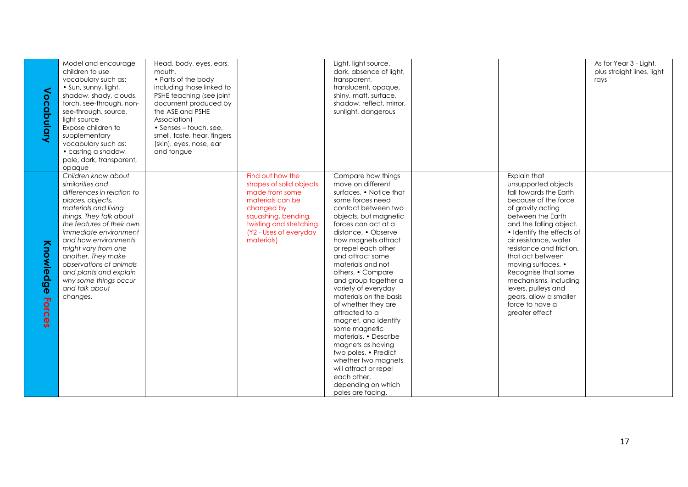| Vocabulary          | Model and encourage<br>children to use<br>vocabulary such as:<br>· Sun, sunny, light,<br>shadow, shady, clouds,<br>torch, see-through, non-<br>see-through, source,<br>light source<br>Expose children to<br>supplementary<br>vocabulary such as:                                                                                                                                          | Head, body, eyes, ears,<br>mouth.<br>• Parts of the body<br>including those linked to<br>PSHE teaching (see joint<br>document produced by<br>the ASE and PSHE<br>Association)<br>• Senses - touch, see,<br>smell, taste, hear, fingers<br>(skin), eyes, nose, ear |                                                                                                                                                                                            | Light, light source,<br>dark, absence of light,<br>transparent,<br>translucent, opaque,<br>shiny, matt, surface,<br>shadow, reflect, mirror,<br>sunlight, dangerous                                                                                                                                                                                                                                                                                                                                                                                                                                                                         |                                                                                                                                                                                                                                                                                                                                                                                                                              | As for Year 3 - Light,<br>plus straight lines, light<br>rays |
|---------------------|--------------------------------------------------------------------------------------------------------------------------------------------------------------------------------------------------------------------------------------------------------------------------------------------------------------------------------------------------------------------------------------------|-------------------------------------------------------------------------------------------------------------------------------------------------------------------------------------------------------------------------------------------------------------------|--------------------------------------------------------------------------------------------------------------------------------------------------------------------------------------------|---------------------------------------------------------------------------------------------------------------------------------------------------------------------------------------------------------------------------------------------------------------------------------------------------------------------------------------------------------------------------------------------------------------------------------------------------------------------------------------------------------------------------------------------------------------------------------------------------------------------------------------------|------------------------------------------------------------------------------------------------------------------------------------------------------------------------------------------------------------------------------------------------------------------------------------------------------------------------------------------------------------------------------------------------------------------------------|--------------------------------------------------------------|
|                     | • casting a shadow,<br>pale, dark, transparent,<br>opaque                                                                                                                                                                                                                                                                                                                                  | and tongue                                                                                                                                                                                                                                                        |                                                                                                                                                                                            |                                                                                                                                                                                                                                                                                                                                                                                                                                                                                                                                                                                                                                             |                                                                                                                                                                                                                                                                                                                                                                                                                              |                                                              |
| Knowledge<br>Forces | Children know about<br>similarities and<br>differences in relation to<br>places, objects,<br>materials and living<br>things. They talk about<br>the features of their own<br><i>immediate environment</i><br>and how environments<br>might vary from one<br>another. They make<br>observations of animals<br>and plants and explain<br>why some things occur<br>and talk about<br>changes. |                                                                                                                                                                                                                                                                   | Find out how the<br>shapes of solid objects<br>made from some<br>materials can be<br>changed by<br>squashing, bending,<br>twisting and stretching.<br>(Y2 - Uses of everyday<br>materials) | Compare how things<br>move on different<br>surfaces. • Notice that<br>some forces need<br>contact between two<br>objects, but magnetic<br>forces can act at a<br>distance. • Observe<br>how magnets attract<br>or repel each other<br>and attract some<br>materials and not<br>others. • Compare<br>and group together a<br>variety of everyday<br>materials on the basis<br>of whether they are<br>attracted to a<br>magnet, and identify<br>some magnetic<br>materials. • Describe<br>magnets as having<br>two poles. • Predict<br>whether two magnets<br>will attract or repel<br>each other.<br>depending on which<br>poles are facing. | Explain that<br>unsupported objects<br>fall towards the Earth<br>because of the force<br>of gravity acting<br>between the Earth<br>and the falling object.<br>• Identify the effects of<br>air resistance, water<br>resistance and friction.<br>that act between<br>moving surfaces. •<br>Recognise that some<br>mechanisms, including<br>levers, pulleys and<br>gears, allow a smaller<br>force to have a<br>greater effect |                                                              |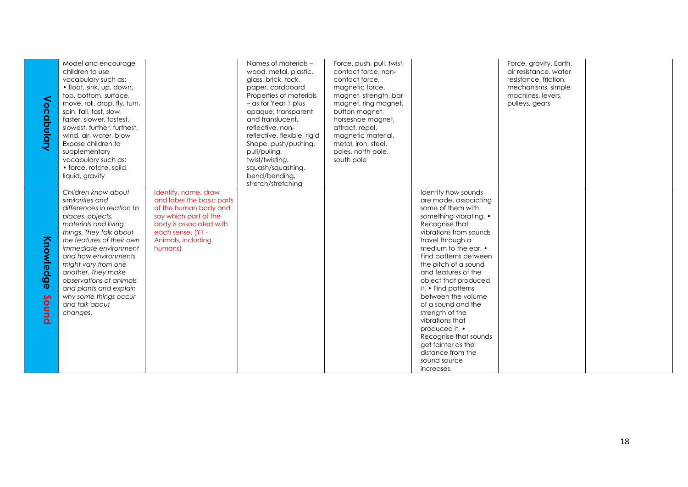| <<br>ocapulary     | Model and encourage<br>children to use<br>vocabulary such as:<br>· float, sink, up, down,<br>top, bottom, surface,<br>move, roll, drop, fly, turn,<br>spin, fall, fast, slow,<br>faster, slower, fastest,<br>slowest, further, furthest,<br>wind, air, water, blow<br>Expose children to<br>supplementary<br>vocabulary such as:<br>• force, rotate, solid,<br>liquid, gravity      |                                                                                                                                                                                      | Names of materials -<br>wood, metal, plastic,<br>glass, brick, rock,<br>paper, cardboard<br>Properties of materials<br>- as for Year 1 plus<br>opaque, transparent<br>and translucent.<br>reflective, non-<br>reflective, flexible, rigid<br>Shape, push/pushing,<br>pull/puling,<br>twist/twisting,<br>squash/squashing,<br>bend/bending,<br>stretch/stretching | Force, push, pull, twist,<br>contact force, non-<br>contact force.<br>magnetic force,<br>magnet, strength, bar<br>magnet, ring magnet,<br>button magnet,<br>horseshoe magnet,<br>attract, repel,<br>magnetic material,<br>metal, iron, steel,<br>poles, north pole,<br>south pole |                                                                                                                                                                                                                                                                                                                                                                                                                                                                                                                  | Force, gravity, Earth,<br>air resistance, water<br>resistance, friction,<br>mechanisms, simple<br>machines, levers,<br>pulleys, gears |  |
|--------------------|-------------------------------------------------------------------------------------------------------------------------------------------------------------------------------------------------------------------------------------------------------------------------------------------------------------------------------------------------------------------------------------|--------------------------------------------------------------------------------------------------------------------------------------------------------------------------------------|------------------------------------------------------------------------------------------------------------------------------------------------------------------------------------------------------------------------------------------------------------------------------------------------------------------------------------------------------------------|-----------------------------------------------------------------------------------------------------------------------------------------------------------------------------------------------------------------------------------------------------------------------------------|------------------------------------------------------------------------------------------------------------------------------------------------------------------------------------------------------------------------------------------------------------------------------------------------------------------------------------------------------------------------------------------------------------------------------------------------------------------------------------------------------------------|---------------------------------------------------------------------------------------------------------------------------------------|--|
| Knowledge<br>Sound | Children know about<br>similarities and<br>differences in relation to<br>places, objects,<br>materials and living<br>things. They talk about<br>the features of their own<br>immediate environment<br>and how environments<br>might vary from one<br>another. They make<br>observations of animals<br>and plants and explain<br>why some things occur<br>and talk about<br>changes. | Identify, name, draw<br>and label the basic parts<br>of the human body and<br>say which part of the<br>body is associated with<br>each sense. (Y1 -<br>Animals, including<br>humans) |                                                                                                                                                                                                                                                                                                                                                                  |                                                                                                                                                                                                                                                                                   | Identify how sounds<br>are made, associating<br>some of them with<br>something vibrating. •<br>Recognise that<br>vibrations from sounds<br>travel through a<br>medium to the ear. •<br>Find patterns between<br>the pitch of a sound<br>and features of the<br>object that produced<br>it. • Find patterns<br>between the volume<br>of a sound and the<br>strength of the<br>vibrations that<br>produced it. •<br>Recognise that sounds<br>get fainter as the<br>distance from the<br>sound source<br>increases. |                                                                                                                                       |  |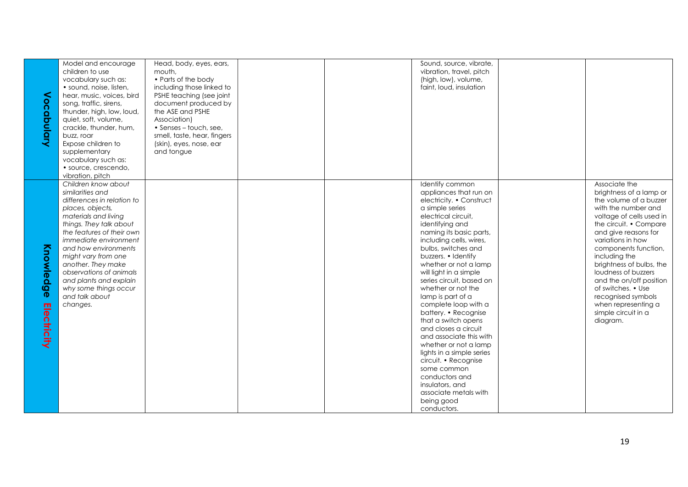|             | Model and encourage        | Head, body, eyes, ears,     |  | Sound, source, vibrate,   |                          |
|-------------|----------------------------|-----------------------------|--|---------------------------|--------------------------|
|             | children to use            | mouth,                      |  | vibration, travel, pitch  |                          |
|             | vocabulary such as:        | • Parts of the body         |  | (high, low), volume,      |                          |
|             | · sound, noise, listen,    | including those linked to   |  | faint, loud, insulation   |                          |
|             |                            |                             |  |                           |                          |
|             | hear, music, voices, bird  | PSHE teaching (see joint    |  |                           |                          |
|             | song, traffic, sirens,     | document produced by        |  |                           |                          |
|             | thunder, high, low, loud,  | the ASE and PSHE            |  |                           |                          |
|             | quiet, soft, volume,       | Association)                |  |                           |                          |
|             |                            |                             |  |                           |                          |
|             | crackle, thunder, hum,     | • Senses - touch, see,      |  |                           |                          |
| Vocabulary  | buzz, roar                 | smell, taste, hear, fingers |  |                           |                          |
|             | Expose children to         | (skin), eyes, nose, ear     |  |                           |                          |
|             | supplementary              | and tongue                  |  |                           |                          |
|             | vocabulary such as:        |                             |  |                           |                          |
|             |                            |                             |  |                           |                          |
|             | · source, crescendo,       |                             |  |                           |                          |
|             | vibration, pitch           |                             |  |                           |                          |
|             | Children know about        |                             |  | Identify common           | Associate the            |
|             | similarities and           |                             |  | appliances that run on    | brightness of a lamp or  |
|             | differences in relation to |                             |  | electricity. • Construct  | the volume of a buzzer   |
|             |                            |                             |  | a simple series           | with the number and      |
|             | places, objects,           |                             |  |                           |                          |
|             | materials and living       |                             |  | electrical circuit,       | voltage of cells used in |
|             | things. They talk about    |                             |  | identifying and           | the circuit. • Compare   |
|             | the features of their own  |                             |  | naming its basic parts,   | and give reasons for     |
|             | immediate environment      |                             |  | including cells, wires,   | variations in how        |
|             | and how environments       |                             |  | bulbs, switches and       | components function,     |
|             |                            |                             |  |                           |                          |
|             | might vary from one        |                             |  | buzzers. • Identify       | including the            |
|             | another. They make         |                             |  | whether or not a lamp     | brightness of bulbs, the |
|             | observations of animals    |                             |  | will light in a simple    | loudness of buzzers      |
| Knowledge   | and plants and explain     |                             |  | series circuit, based on  | and the on/off position  |
|             | why some things occur      |                             |  | whether or not the        | of switches. • Use       |
|             |                            |                             |  |                           |                          |
|             | and talk about             |                             |  | lamp is part of a         | recognised symbols       |
|             | changes.                   |                             |  | complete loop with a      | when representing a      |
|             |                            |                             |  | battery. • Recognise      | simple circuit in a      |
| Electricity |                            |                             |  | that a switch opens       | diagram.                 |
|             |                            |                             |  | and closes a circuit      |                          |
|             |                            |                             |  |                           |                          |
|             |                            |                             |  | and associate this with   |                          |
|             |                            |                             |  | whether or not a lamp     |                          |
|             |                            |                             |  | lights in a simple series |                          |
|             |                            |                             |  | circuit. • Recognise      |                          |
|             |                            |                             |  | some common               |                          |
|             |                            |                             |  |                           |                          |
|             |                            |                             |  | conductors and            |                          |
|             |                            |                             |  | insulators, and           |                          |
|             |                            |                             |  | associate metals with     |                          |
|             |                            |                             |  | being good                |                          |
|             |                            |                             |  | conductors.               |                          |
|             |                            |                             |  |                           |                          |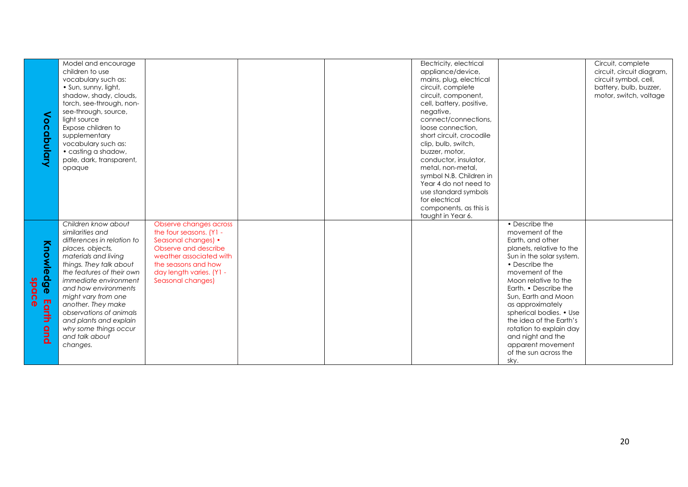|           | Model and encourage          |                          |  | Electricity, electrical  |                          | Circuit, complete         |
|-----------|------------------------------|--------------------------|--|--------------------------|--------------------------|---------------------------|
|           | children to use              |                          |  | appliance/device,        |                          | circuit, circuit diagram, |
|           | vocabulary such as:          |                          |  | mains, plug, electrical  |                          | circuit symbol, cell,     |
|           | · Sun, sunny, light,         |                          |  | circuit, complete        |                          | battery, bulb, buzzer,    |
|           | shadow, shady, clouds,       |                          |  | circuit, component,      |                          | motor, switch, voltage    |
|           | torch, see-through, non-     |                          |  | cell, battery, positive, |                          |                           |
|           | see-through, source,         |                          |  | negative,                |                          |                           |
| ⋖         | light source                 |                          |  | connect/connections,     |                          |                           |
| ocabulary | Expose children to           |                          |  | loose connection.        |                          |                           |
|           | supplementary                |                          |  | short circuit, crocodile |                          |                           |
|           |                              |                          |  |                          |                          |                           |
|           | vocabulary such as:          |                          |  | clip, bulb, switch,      |                          |                           |
|           | • casting a shadow,          |                          |  | buzzer, motor,           |                          |                           |
|           | pale, dark, transparent,     |                          |  | conductor, insulator,    |                          |                           |
|           | opaque                       |                          |  | metal, non-metal.        |                          |                           |
|           |                              |                          |  | symbol N.B. Children in  |                          |                           |
|           |                              |                          |  | Year 4 do not need to    |                          |                           |
|           |                              |                          |  | use standard symbols     |                          |                           |
|           |                              |                          |  | for electrical           |                          |                           |
|           |                              |                          |  | components, as this is   |                          |                           |
|           |                              |                          |  | taught in Year 6.        |                          |                           |
|           | Children know about          | Observe changes across   |  |                          | • Describe the           |                           |
|           | similarities and             | the four seasons. (Y1 -  |  |                          | movement of the          |                           |
|           | differences in relation to   | Seasonal changes) •      |  |                          | Earth, and other         |                           |
| Knowledge | places, objects,             | Observe and describe     |  |                          | planets, relative to the |                           |
|           | materials and living         | weather associated with  |  |                          | Sun in the solar system. |                           |
|           | things. They talk about      | the seasons and how      |  |                          | • Describe the           |                           |
|           | the features of their own    | day length varies. (Y1 - |  |                          | movement of the          |                           |
|           | <i>immediate environment</i> | Seasonal changes)        |  |                          | Moon relative to the     |                           |
| apace     | and how environments         |                          |  |                          | Earth. • Describe the    |                           |
|           | might vary from one          |                          |  |                          | Sun, Earth and Moon      |                           |
|           | another. They make           |                          |  |                          | as approximately         |                           |
|           | observations of animals      |                          |  |                          | spherical bodies. • Use  |                           |
| Earth     | and plants and explain       |                          |  |                          | the idea of the Earth's  |                           |
|           | why some things occur        |                          |  |                          | rotation to explain day  |                           |
| <u>g</u>  | and talk about               |                          |  |                          | and night and the        |                           |
|           |                              |                          |  |                          | apparent movement        |                           |
|           | changes.                     |                          |  |                          |                          |                           |
|           |                              |                          |  |                          | of the sun across the    |                           |
|           |                              |                          |  |                          | sky.                     |                           |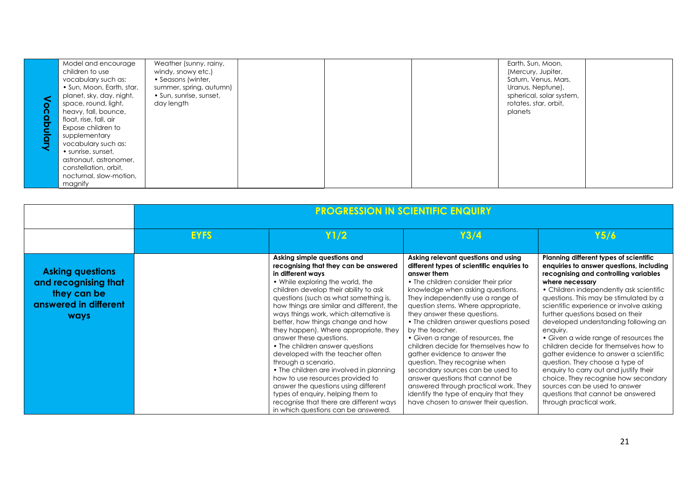| O<br>റ<br>$\frac{Q}{C}$<br>Š<br>$\overline{\mathbf{o}}$ | Model and encourage<br>children to use<br>vocabulary such as:<br>• Sun, Moon, Earth, star,<br>planet, sky, day, night,<br>space, round, light,<br>heavy, fall, bounce,<br>float, rise, fall, air<br>Expose children to<br>supplementary<br>vocabulary such as:<br>• sunrise, sunset,<br>astronaut, astronomer,<br>constellation, orbit,<br>nocturnal, slow-motion,<br>magnify | Weather (sunny, rainy,<br>windy, snowy etc.)<br>• Seasons (winter,<br>summer, spring, autumn)<br>• Sun, sunrise, sunset,<br>day length |  |  |  | Earth, Sun, Moon,<br>(Mercury, Jupiter,<br>Saturn, Venus, Mars,<br>Uranus, Neptune),<br>spherical, solar system,<br>rotates, star, orbit,<br>planets |  |
|---------------------------------------------------------|-------------------------------------------------------------------------------------------------------------------------------------------------------------------------------------------------------------------------------------------------------------------------------------------------------------------------------------------------------------------------------|----------------------------------------------------------------------------------------------------------------------------------------|--|--|--|------------------------------------------------------------------------------------------------------------------------------------------------------|--|
|---------------------------------------------------------|-------------------------------------------------------------------------------------------------------------------------------------------------------------------------------------------------------------------------------------------------------------------------------------------------------------------------------------------------------------------------------|----------------------------------------------------------------------------------------------------------------------------------------|--|--|--|------------------------------------------------------------------------------------------------------------------------------------------------------|--|

|                                                                                                        | <b>PROGRESSION IN SCIENTIFIC ENQUIRY</b> |                                                                                                                                                                                                                                                                                                                                                                                                                                                                                                                                                                                                                                                                                                                                                             |                                                                                                                                                                                                                                                                                                                                                                                                                                                                                                                                                                                                                                                                                                       |                                                                                                                                                                                                                                                                                                                                                                                                                                                                                                                                                                                                                                                                                                                          |  |  |
|--------------------------------------------------------------------------------------------------------|------------------------------------------|-------------------------------------------------------------------------------------------------------------------------------------------------------------------------------------------------------------------------------------------------------------------------------------------------------------------------------------------------------------------------------------------------------------------------------------------------------------------------------------------------------------------------------------------------------------------------------------------------------------------------------------------------------------------------------------------------------------------------------------------------------------|-------------------------------------------------------------------------------------------------------------------------------------------------------------------------------------------------------------------------------------------------------------------------------------------------------------------------------------------------------------------------------------------------------------------------------------------------------------------------------------------------------------------------------------------------------------------------------------------------------------------------------------------------------------------------------------------------------|--------------------------------------------------------------------------------------------------------------------------------------------------------------------------------------------------------------------------------------------------------------------------------------------------------------------------------------------------------------------------------------------------------------------------------------------------------------------------------------------------------------------------------------------------------------------------------------------------------------------------------------------------------------------------------------------------------------------------|--|--|
|                                                                                                        | <b>EYFS</b>                              | Y1/2                                                                                                                                                                                                                                                                                                                                                                                                                                                                                                                                                                                                                                                                                                                                                        | Y3/4                                                                                                                                                                                                                                                                                                                                                                                                                                                                                                                                                                                                                                                                                                  | Y5/6                                                                                                                                                                                                                                                                                                                                                                                                                                                                                                                                                                                                                                                                                                                     |  |  |
| <b>Asking questions</b><br>and recognising that<br>they can be<br>answered in different<br><b>ways</b> |                                          | Asking simple questions and<br>recognising that they can be answered<br>in different ways<br>• While exploring the world, the<br>children develop their ability to ask<br>questions (such as what something is,<br>how things are similar and different, the<br>ways things work, which alternative is<br>better, how things change and how<br>they happen). Where appropriate, they<br>answer these questions.<br>• The children answer questions<br>developed with the teacher often<br>through a scenario.<br>• The children are involved in planning<br>how to use resources provided to<br>answer the questions using different<br>types of enquiry, helping them to<br>recognise that there are different ways<br>in which questions can be answered. | Asking relevant questions and using<br>different types of scientific enquiries to<br>answer them<br>• The children consider their prior<br>knowledge when asking questions.<br>They independently use a range of<br>question stems. Where appropriate,<br>they answer these questions.<br>• The children answer questions posed<br>by the teacher.<br>• Given a range of resources, the<br>children decide for themselves how to<br>gather evidence to answer the<br>question. They recognise when<br>secondary sources can be used to<br>answer questions that cannot be<br>answered through practical work. They<br>identify the type of enquiry that they<br>have chosen to answer their question. | Planning different types of scientific<br>enquiries to answer questions, including<br>recognising and controlling variables<br>where necessary<br>• Children independently ask scientific<br>questions. This may be stimulated by a<br>scientific experience or involve asking<br>further questions based on their<br>developed understanding following an<br>enquiry.<br>• Given a wide range of resources the<br>children decide for themselves how to<br>gather evidence to answer a scientific<br>question. They choose a type of<br>enquiry to carry out and justify their<br>choice. They recognise how secondary<br>sources can be used to answer<br>questions that cannot be answered<br>through practical work. |  |  |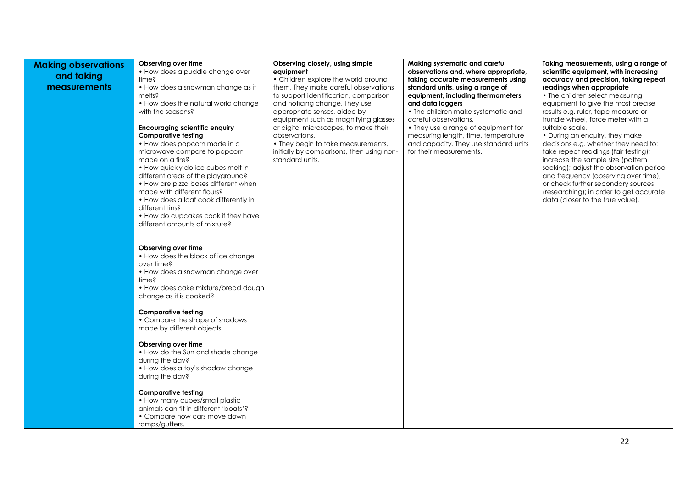| <b>Making observations</b><br>and taking<br>measurements | Observing over time<br>• How does a puddle change over<br>time?<br>• How does a snowman change as it<br>melts?<br>• How does the natural world change<br>with the seasons?<br><b>Encouraging scientific enquiry</b><br>Comparative testing<br>• How does popcorn made in a<br>microwave compare to popcorn<br>made on a fire?<br>• How quickly do ice cubes melt in<br>different areas of the playground?<br>• How are pizza bases different when<br>made with different flours?<br>• How does a loaf cook differently in<br>different tins?<br>• How do cupcakes cook if they have<br>different amounts of mixture? | Observing closely, using simple<br>equipment<br>• Children explore the world around<br>them. They make careful observations<br>to support identification, comparison<br>and noticing change. They use<br>appropriate senses, aided by<br>equipment such as magnifying glasses<br>or digital microscopes, to make their<br>observations.<br>• They begin to take measurements,<br>initially by comparisons, then using non-<br>standard units. | Making systematic and careful<br>observations and, where appropriate,<br>taking accurate measurements using<br>standard units, using a range of<br>equipment, including thermometers<br>and data loggers<br>• The children make systematic and<br>careful observations.<br>• They use a range of equipment for<br>measuring length, time, temperature<br>and capacity. They use standard units<br>for their measurements. | Taking measurements, using a range of<br>scientific equipment, with increasing<br>accuracy and precision, taking repeat<br>readings when appropriate<br>• The children select measuring<br>equipment to give the most precise<br>results e.g. ruler, tape measure or<br>trundle wheel, force meter with a<br>suitable scale.<br>• During an enquiry, they make<br>decisions e.g. whether they need to:<br>take repeat readings (fair testing);<br>increase the sample size (pattern<br>seeking); adjust the observation period<br>and frequency (observing over time);<br>or check further secondary sources<br>(researching); in order to get accurate<br>data (closer to the true value). |
|----------------------------------------------------------|----------------------------------------------------------------------------------------------------------------------------------------------------------------------------------------------------------------------------------------------------------------------------------------------------------------------------------------------------------------------------------------------------------------------------------------------------------------------------------------------------------------------------------------------------------------------------------------------------------------------|-----------------------------------------------------------------------------------------------------------------------------------------------------------------------------------------------------------------------------------------------------------------------------------------------------------------------------------------------------------------------------------------------------------------------------------------------|---------------------------------------------------------------------------------------------------------------------------------------------------------------------------------------------------------------------------------------------------------------------------------------------------------------------------------------------------------------------------------------------------------------------------|---------------------------------------------------------------------------------------------------------------------------------------------------------------------------------------------------------------------------------------------------------------------------------------------------------------------------------------------------------------------------------------------------------------------------------------------------------------------------------------------------------------------------------------------------------------------------------------------------------------------------------------------------------------------------------------------|
|                                                          | Observing over time<br>• How does the block of ice change<br>over time?<br>• How does a snowman change over<br>time?<br>• How does cake mixture/bread dough<br>change as it is cooked?<br><b>Comparative testing</b><br>• Compare the shape of shadows<br>made by different objects.<br>Observing over time<br>• How do the Sun and shade change<br>during the day?<br>• How does a toy's shadow change<br>during the day?<br><b>Comparative testing</b><br>• How many cubes/small plastic                                                                                                                           |                                                                                                                                                                                                                                                                                                                                                                                                                                               |                                                                                                                                                                                                                                                                                                                                                                                                                           |                                                                                                                                                                                                                                                                                                                                                                                                                                                                                                                                                                                                                                                                                             |
|                                                          | animals can fit in different 'boats'?<br>• Compare how cars move down<br>ramps/gutters.                                                                                                                                                                                                                                                                                                                                                                                                                                                                                                                              |                                                                                                                                                                                                                                                                                                                                                                                                                                               |                                                                                                                                                                                                                                                                                                                                                                                                                           |                                                                                                                                                                                                                                                                                                                                                                                                                                                                                                                                                                                                                                                                                             |

22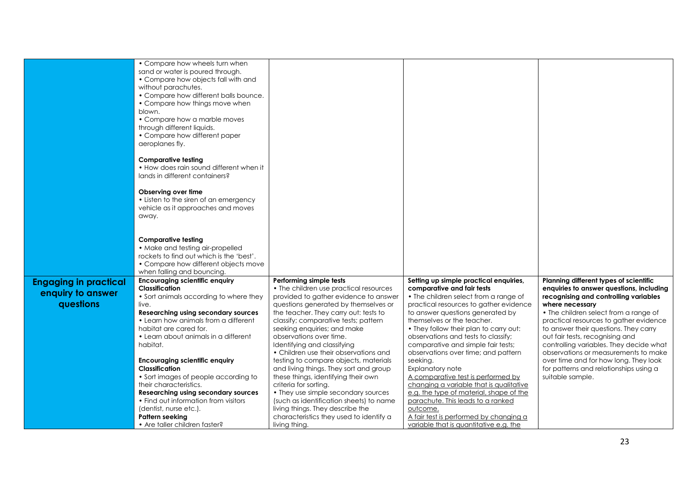|                                                                | • Compare how wheels turn when<br>sand or water is poured through.<br>• Compare how objects fall with and<br>without parachutes.<br>• Compare how different balls bounce.<br>• Compare how things move when<br>blown. |                                                                                                                                                    |                                                                                                                                                         |                                                                                                                                                             |
|----------------------------------------------------------------|-----------------------------------------------------------------------------------------------------------------------------------------------------------------------------------------------------------------------|----------------------------------------------------------------------------------------------------------------------------------------------------|---------------------------------------------------------------------------------------------------------------------------------------------------------|-------------------------------------------------------------------------------------------------------------------------------------------------------------|
|                                                                | • Compare how a marble moves<br>through different liquids.<br>• Compare how different paper<br>aeroplanes fly.                                                                                                        |                                                                                                                                                    |                                                                                                                                                         |                                                                                                                                                             |
|                                                                | <b>Comparative testing</b><br>• How does rain sound different when it<br>lands in different containers?                                                                                                               |                                                                                                                                                    |                                                                                                                                                         |                                                                                                                                                             |
|                                                                | Observing over time<br>• Listen to the siren of an emergency<br>vehicle as it approaches and moves<br>away.                                                                                                           |                                                                                                                                                    |                                                                                                                                                         |                                                                                                                                                             |
|                                                                | <b>Comparative testing</b><br>• Make and testing air-propelled<br>rockets to find out which is the 'best'.                                                                                                            |                                                                                                                                                    |                                                                                                                                                         |                                                                                                                                                             |
|                                                                | • Compare how different objects move<br>when falling and bouncing.                                                                                                                                                    |                                                                                                                                                    |                                                                                                                                                         |                                                                                                                                                             |
| <b>Engaging in practical</b><br>enquiry to answer<br>questions | <b>Encouraging scientific enquiry</b><br><b>Classification</b><br>• Sort animals according to where they<br>live.                                                                                                     | Performing simple tests<br>• The children use practical resources<br>provided to gather evidence to answer<br>questions generated by themselves or | Setting up simple practical enquiries,<br>comparative and fair tests<br>• The children select from a range of<br>practical resources to gather evidence | Planning different types of scientific<br>enquiries to answer questions, including<br>recognising and controlling variables<br>where necessary              |
|                                                                | Researching using secondary sources<br>• Learn how animals from a different<br>habitat are cared for.<br>• Learn about animals in a different                                                                         | the teacher. They carry out: tests to<br>classify; comparative tests; pattern<br>seeking enquiries; and make<br>observations over time.            | to answer questions generated by<br>themselves or the teacher.<br>• They follow their plan to carry out:<br>observations and tests to classify;         | • The children select from a range of<br>practical resources to gather evidence<br>to answer their questions. They carry<br>out fair tests, recognising and |
|                                                                | habitat.<br><b>Encouraging scientific enquiry</b>                                                                                                                                                                     | Identifying and classifying<br>• Children use their observations and<br>testing to compare objects, materials                                      | comparative and simple fair tests;<br>observations over time; and pattern<br>seeking.                                                                   | controlling variables. They decide what<br>observations or measurements to make<br>over time and for how long. They look                                    |
|                                                                | Classification                                                                                                                                                                                                        | and living things. They sort and group                                                                                                             | Explanatory note                                                                                                                                        | for patterns and relationships using a                                                                                                                      |
|                                                                | • Sort images of people according to                                                                                                                                                                                  | these things, identifying their own                                                                                                                | A comparative test is performed by                                                                                                                      | suitable sample.                                                                                                                                            |
|                                                                | their characteristics.                                                                                                                                                                                                | criteria for sorting.                                                                                                                              | changing a variable that is qualitative                                                                                                                 |                                                                                                                                                             |
|                                                                | Researching using secondary sources<br>• Find out information from visitors                                                                                                                                           | • They use simple secondary sources<br>(such as identification sheets) to name                                                                     | e.g. the type of material, shape of the<br>parachute. This leads to a ranked                                                                            |                                                                                                                                                             |
|                                                                | (dentist, nurse etc.).                                                                                                                                                                                                | living things. They describe the                                                                                                                   | outcome.                                                                                                                                                |                                                                                                                                                             |
|                                                                | Pattern seeking                                                                                                                                                                                                       | characteristics they used to identify a                                                                                                            | A fair test is performed by changing a                                                                                                                  |                                                                                                                                                             |
|                                                                | • Are taller children faster?                                                                                                                                                                                         | living thing.                                                                                                                                      | variable that is quantitative e.g. the                                                                                                                  |                                                                                                                                                             |
|                                                                |                                                                                                                                                                                                                       |                                                                                                                                                    |                                                                                                                                                         |                                                                                                                                                             |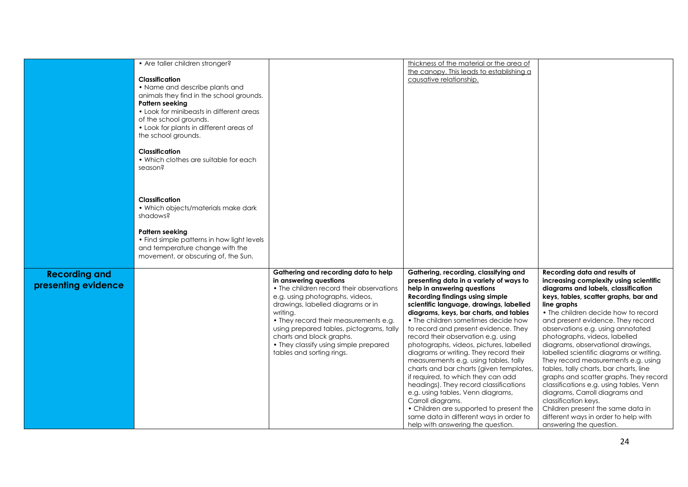|                      | • Are taller children stronger?            |                                          | thickness of the material or the area of |                                          |
|----------------------|--------------------------------------------|------------------------------------------|------------------------------------------|------------------------------------------|
|                      |                                            |                                          | the canopy. This leads to establishing a |                                          |
|                      | <b>Classification</b>                      |                                          | causative relationship.                  |                                          |
|                      | • Name and describe plants and             |                                          |                                          |                                          |
|                      |                                            |                                          |                                          |                                          |
|                      | animals they find in the school grounds.   |                                          |                                          |                                          |
|                      | Pattern seeking                            |                                          |                                          |                                          |
|                      | • Look for minibeasts in different areas   |                                          |                                          |                                          |
|                      | of the school grounds.                     |                                          |                                          |                                          |
|                      | • Look for plants in different areas of    |                                          |                                          |                                          |
|                      | the school grounds.                        |                                          |                                          |                                          |
|                      |                                            |                                          |                                          |                                          |
|                      | <b>Classification</b>                      |                                          |                                          |                                          |
|                      | • Which clothes are suitable for each      |                                          |                                          |                                          |
|                      | season?                                    |                                          |                                          |                                          |
|                      |                                            |                                          |                                          |                                          |
|                      |                                            |                                          |                                          |                                          |
|                      |                                            |                                          |                                          |                                          |
|                      |                                            |                                          |                                          |                                          |
|                      | <b>Classification</b>                      |                                          |                                          |                                          |
|                      | • Which objects/materials make dark        |                                          |                                          |                                          |
|                      | shadows?                                   |                                          |                                          |                                          |
|                      |                                            |                                          |                                          |                                          |
|                      | <b>Pattern seeking</b>                     |                                          |                                          |                                          |
|                      | • Find simple patterns in how light levels |                                          |                                          |                                          |
|                      | and temperature change with the            |                                          |                                          |                                          |
|                      | movement, or obscuring of, the Sun.        |                                          |                                          |                                          |
|                      |                                            |                                          |                                          |                                          |
| <b>Recording and</b> |                                            | Gathering and recording data to help     | Gathering, recording, classifying and    | Recording data and results of            |
|                      |                                            | in answering questions                   | presenting data in a variety of ways to  | increasing complexity using scientific   |
| presenting evidence  |                                            | • The children record their observations | help in answering questions              | diagrams and labels, classification      |
|                      |                                            | e.g. using photographs, videos,          | <b>Recording findings using simple</b>   | keys, tables, scatter graphs, bar and    |
|                      |                                            |                                          |                                          |                                          |
|                      |                                            | drawings, labelled diagrams or in        | scientific language, drawings, labelled  | line graphs                              |
|                      |                                            | writing.                                 | diagrams, keys, bar charts, and tables   | • The children decide how to record      |
|                      |                                            | • They record their measurements e.g.    | • The children sometimes decide how      | and present evidence. They record        |
|                      |                                            | using prepared tables, pictograms, tally | to record and present evidence. They     | observations e.g. using annotated        |
|                      |                                            | charts and block graphs.                 | record their observation e.g. using      | photographs, videos, labelled            |
|                      |                                            | • They classify using simple prepared    | photographs, videos, pictures, labelled  | diagrams, observational drawings,        |
|                      |                                            | tables and sorting rings.                | diagrams or writing. They record their   | labelled scientific diagrams or writing. |
|                      |                                            |                                          | measurements e.g. using tables, tally    | They record measurements e.g. using      |
|                      |                                            |                                          | charts and bar charts (given templates,  | tables, tally charts, bar charts, line   |
|                      |                                            |                                          | if required, to which they can add       | graphs and scatter graphs. They record   |
|                      |                                            |                                          | headings). They record classifications   | classifications e.g. using tables, Venn  |
|                      |                                            |                                          |                                          |                                          |
|                      |                                            |                                          | e.g. using tables, Venn diagrams,        | diagrams, Carroll diagrams and           |
|                      |                                            |                                          | Carroll diagrams.                        | classification keys.                     |
|                      |                                            |                                          | • Children are supported to present the  | Children present the same data in        |
|                      |                                            |                                          | same data in different ways in order to  | different ways in order to help with     |
|                      |                                            |                                          | help with answering the question.        | answering the question.                  |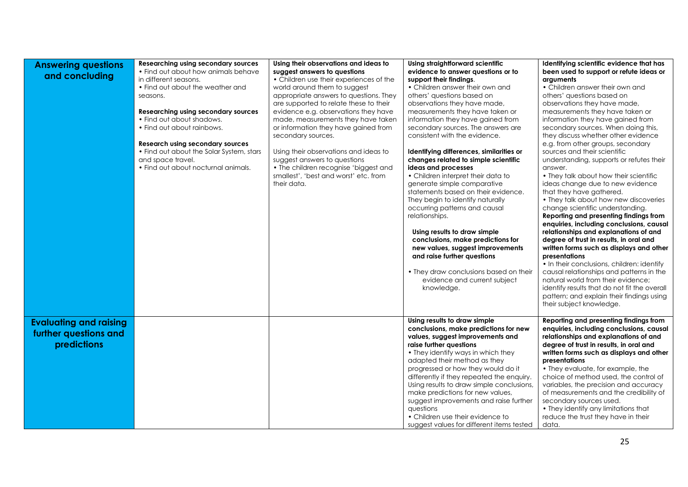| <b>Answering questions</b><br>and concluding                          | Researching using secondary sources<br>• Find out about how animals behave<br>in different seasons.<br>• Find out about the weather and<br>seasons.<br>Researching using secondary sources<br>• Find out about shadows.<br>• Find out about rainbows.<br><b>Research using secondary sources</b><br>• Find out about the Solar System, stars<br>and space travel.<br>• Find out about nocturnal animals. | Using their observations and ideas to<br>suggest answers to questions<br>• Children use their experiences of the<br>world around them to suggest<br>appropriate answers to questions. They<br>are supported to relate these to their<br>evidence e.g. observations they have<br>made, measurements they have taken<br>or information they have gained from<br>secondary sources.<br>Using their observations and ideas to<br>suggest answers to questions<br>• The children recognise 'biggest and<br>smallest', 'best and worst' etc. from<br>their data. | Using straightforward scientific<br>evidence to answer questions or to<br>support their findings.<br>• Children answer their own and<br>others' questions based on<br>observations they have made,<br>measurements they have taken or<br>information they have gained from<br>secondary sources. The answers are<br>consistent with the evidence.<br>Identifying differences, similarities or<br>changes related to simple scientific<br>ideas and processes<br>• Children interpret their data to<br>generate simple comparative<br>statements based on their evidence.<br>They begin to identify naturally<br>occurring patterns and causal<br>relationships.<br>Using results to draw simple<br>conclusions, make predictions for<br>new values, suggest improvements<br>and raise further questions<br>• They draw conclusions based on their<br>evidence and current subject<br>knowledge. | Identifying scientific evidence that has<br>been used to support or refute ideas or<br>arguments<br>• Children answer their own and<br>others' questions based on<br>observations they have made,<br>measurements they have taken or<br>information they have gained from<br>secondary sources. When doing this,<br>they discuss whether other evidence<br>e.g. from other groups, secondary<br>sources and their scientific<br>understanding, supports or refutes their<br>answer.<br>• They talk about how their scientific<br>ideas change due to new evidence<br>that they have gathered.<br>• They talk about how new discoveries<br>change scientific understanding.<br>Reporting and presenting findings from<br>enquiries, including conclusions, causal<br>relationships and explanations of and<br>degree of trust in results, in oral and<br>written forms such as displays and other<br>presentations<br>• In their conclusions, children: identify<br>causal relationships and patterns in the<br>natural world from their evidence;<br>identify results that do not fit the overall<br>pattern; and explain their findings using<br>their subject knowledge. |
|-----------------------------------------------------------------------|----------------------------------------------------------------------------------------------------------------------------------------------------------------------------------------------------------------------------------------------------------------------------------------------------------------------------------------------------------------------------------------------------------|------------------------------------------------------------------------------------------------------------------------------------------------------------------------------------------------------------------------------------------------------------------------------------------------------------------------------------------------------------------------------------------------------------------------------------------------------------------------------------------------------------------------------------------------------------|-------------------------------------------------------------------------------------------------------------------------------------------------------------------------------------------------------------------------------------------------------------------------------------------------------------------------------------------------------------------------------------------------------------------------------------------------------------------------------------------------------------------------------------------------------------------------------------------------------------------------------------------------------------------------------------------------------------------------------------------------------------------------------------------------------------------------------------------------------------------------------------------------|----------------------------------------------------------------------------------------------------------------------------------------------------------------------------------------------------------------------------------------------------------------------------------------------------------------------------------------------------------------------------------------------------------------------------------------------------------------------------------------------------------------------------------------------------------------------------------------------------------------------------------------------------------------------------------------------------------------------------------------------------------------------------------------------------------------------------------------------------------------------------------------------------------------------------------------------------------------------------------------------------------------------------------------------------------------------------------------------------------------------------------------------------------------------------|
| <b>Evaluating and raising</b><br>further questions and<br>predictions |                                                                                                                                                                                                                                                                                                                                                                                                          |                                                                                                                                                                                                                                                                                                                                                                                                                                                                                                                                                            | Using results to draw simple<br>conclusions, make predictions for new<br>values, suggest improvements and<br>raise further questions<br>• They identify ways in which they<br>adapted their method as they<br>progressed or how they would do it<br>differently if they repeated the enquiry.<br>Using results to draw simple conclusions,<br>make predictions for new values,<br>suggest improvements and raise further<br>questions<br>• Children use their evidence to<br>suggest values for different items tested                                                                                                                                                                                                                                                                                                                                                                          | Reporting and presenting findings from<br>enquiries, including conclusions, causal<br>relationships and explanations of and<br>degree of trust in results, in oral and<br>written forms such as displays and other<br>presentations<br>• They evaluate, for example, the<br>choice of method used, the control of<br>variables, the precision and accuracy<br>of measurements and the credibility of<br>secondary sources used.<br>• They identify any limitations that<br>reduce the trust they have in their<br>data.                                                                                                                                                                                                                                                                                                                                                                                                                                                                                                                                                                                                                                                    |